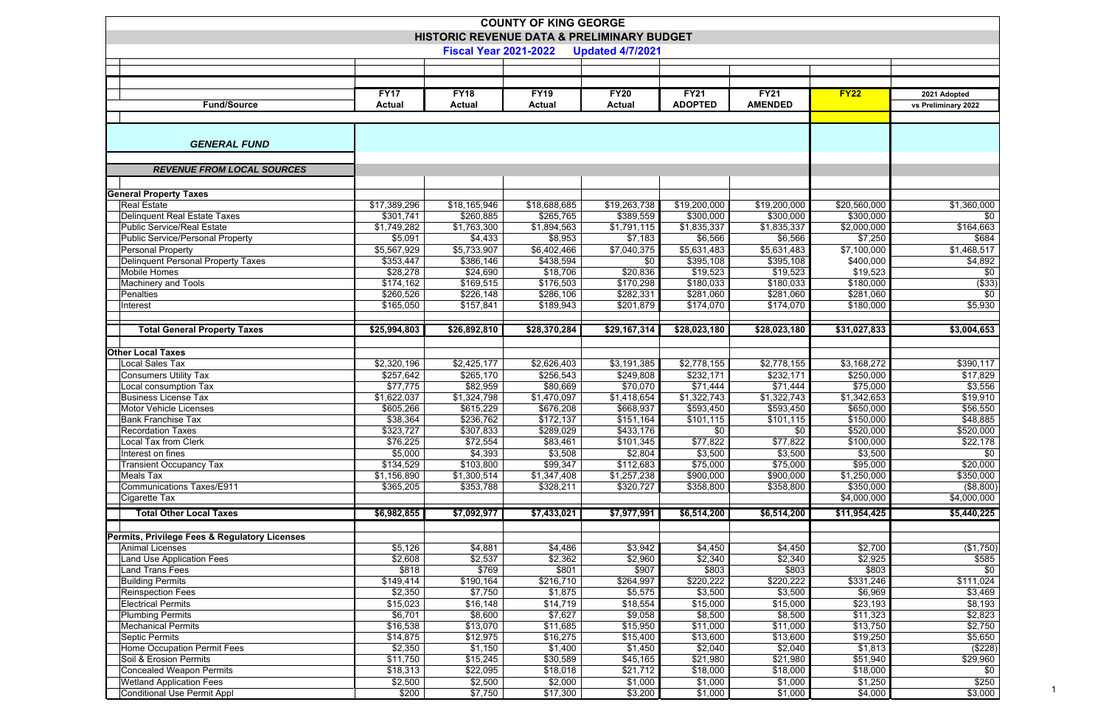|                                                                            |                       |                        | <b>COUNTY OF KING GEORGE</b> |                         |                         |                        |                        |                      |  |  |  |
|----------------------------------------------------------------------------|-----------------------|------------------------|------------------------------|-------------------------|-------------------------|------------------------|------------------------|----------------------|--|--|--|
| HISTORIC REVENUE DATA & PRELIMINARY BUDGET<br><b>Fiscal Year 2021-2022</b> |                       |                        |                              |                         |                         |                        |                        |                      |  |  |  |
|                                                                            |                       |                        |                              | <b>Updated 4/7/2021</b> |                         |                        |                        |                      |  |  |  |
|                                                                            |                       |                        |                              |                         |                         |                        |                        |                      |  |  |  |
|                                                                            |                       |                        |                              |                         |                         |                        |                        |                      |  |  |  |
|                                                                            | <b>FY17</b>           | <b>FY18</b>            | <b>FY19</b>                  | <b>FY20</b>             | <b>FY21</b>             | <b>FY21</b>            | <b>FY22</b>            | 2021 Adopted         |  |  |  |
| <b>Fund/Source</b>                                                         | <b>Actual</b>         | <b>Actual</b>          | <b>Actual</b>                | <b>Actual</b>           | <b>ADOPTED</b>          | <b>AMENDED</b>         |                        | vs Preliminary 2022  |  |  |  |
|                                                                            |                       |                        |                              |                         |                         |                        |                        |                      |  |  |  |
| <b>GENERAL FUND</b>                                                        |                       |                        |                              |                         |                         |                        |                        |                      |  |  |  |
|                                                                            |                       |                        |                              |                         |                         |                        |                        |                      |  |  |  |
| <b>REVENUE FROM LOCAL SOURCES</b>                                          |                       |                        |                              |                         |                         |                        |                        |                      |  |  |  |
|                                                                            |                       |                        |                              |                         |                         |                        |                        |                      |  |  |  |
| <b>General Property Taxes</b>                                              |                       |                        |                              |                         |                         |                        |                        |                      |  |  |  |
| <b>Real Estate</b>                                                         | \$17,389,296          | \$18,165,946           | \$18,688,685                 | \$19,263,738            | \$19,200,000            | \$19,200,000           | \$20,560,000           | \$1,360,000          |  |  |  |
| Delinquent Real Estate Taxes                                               | \$301,741             | \$260,885              | \$265,765                    | \$389,559               | \$300,000               | \$300,000              | \$300,000              | \$0                  |  |  |  |
| Public Service/Real Estate                                                 | \$1,749,282           | \$1,763,300            | \$1,894,563                  | \$1,791,115             | \$1,835,337             | \$1,835,337            | \$2,000,000            | \$164,663            |  |  |  |
| Public Service/Personal Property                                           | \$5,091               | \$4,433                | \$8,953                      | \$7,183                 | \$6,566                 | \$6,566                | \$7,250                | \$684                |  |  |  |
| Personal Property                                                          | \$5,567,929           | \$5,733,907            | \$6,402,466                  | \$7,040,375             | $\overline{$}5,631,483$ | \$5,631,483            | \$7,100,000            | \$1,468,517          |  |  |  |
| Delinquent Personal Property Taxes<br>Mobile Homes                         | \$353,447<br>\$28,278 | \$386,146<br>\$24,690  | \$438,594<br>\$18,706        | \$0<br>\$20,836         | \$395,108<br>\$19,523   | \$395,108<br>\$19,523  | \$400,000<br>\$19,523  | \$4,892<br>\$0       |  |  |  |
| <b>Machinery and Tools</b>                                                 | \$174,162             | \$169,515              | \$176,503                    | \$170,298               | \$180,033               | \$180,033              | \$180,000              | $($ \$33)            |  |  |  |
| Penalties                                                                  | \$260,526             | \$226,148              | \$286,106                    | \$282,331               | \$281,060               | \$281,060              | \$281,060              | $\overline{50}$      |  |  |  |
| Interest                                                                   | \$165,050             | \$157,841              | \$189,943                    | \$201,879               | \$174,070               | \$174,070              | \$180,000              | \$5,930              |  |  |  |
|                                                                            |                       |                        |                              |                         |                         |                        |                        |                      |  |  |  |
| <b>Total General Property Taxes</b>                                        | \$25,994,803          | \$26,892,810           | \$28,370,284                 | \$29,167,314            | \$28,023,180            | \$28,023,180           | \$31,027,833           | \$3,004,653          |  |  |  |
|                                                                            |                       |                        |                              |                         |                         |                        |                        |                      |  |  |  |
| <b>Other Local Taxes</b>                                                   |                       |                        |                              |                         |                         |                        |                        |                      |  |  |  |
| Local Sales Tax                                                            | \$2,320,196           | \$2,425,177            | \$2,626,403                  | \$3,191,385             | $\overline{$2,778,155}$ | \$2,778,155            | \$3,168,272            | \$390,117            |  |  |  |
| Consumers Utility Tax                                                      | \$257,642             | \$265,170              | \$256,543                    | \$249,808               | \$232,171               | \$232,171              | \$250,000              | \$17,829             |  |  |  |
| Local consumption Tax                                                      | \$77,775              | \$82,959               | \$80,669                     | \$70,070                | \$71,444                | \$71,444               | \$75,000               | \$3,556              |  |  |  |
| <b>Business License Tax</b><br>Motor Vehicle Licenses                      | \$1,622,037           | \$1,324,798            | \$1,470,097                  | \$1,418,654             | \$1,322,743             | \$1,322,743            | \$1,342,653            | \$19,910             |  |  |  |
| <b>Bank Franchise Tax</b>                                                  | \$605,266<br>\$38,364 | \$615,229<br>\$236,762 | \$676,208<br>\$172,137       | \$668,937<br>\$151,164  | \$593,450<br>\$101,115  | \$593,450<br>\$101,115 | \$650,000<br>\$150,000 | \$56,550<br>\$48,885 |  |  |  |
| <b>Recordation Taxes</b>                                                   | \$323,727             | \$307,833              | \$289,029                    | \$433,176               | \$0                     | \$0                    | \$520,000              | \$520,000            |  |  |  |
| Local Tax from Clerk                                                       | \$76,225              | \$72,554               | \$83,461                     | \$101,345               | \$77,822                | \$77,822               | \$100,000              | \$22,178             |  |  |  |
| Interest on fines                                                          | \$5,000               | \$4,393                | \$3,508                      | \$2,804                 | \$3,500                 | \$3,500                | \$3,500                | \$0                  |  |  |  |
| <b>Transient Occupancy Tax</b>                                             | \$134,529             | \$103,800              | \$99,347                     | \$112,683               | \$75,000                | \$75,000               | \$95,000               | \$20,000             |  |  |  |
| <b>Meals Tax</b>                                                           | \$1,156,890           | \$1,300,514            | \$1,347,408                  | \$1,257,238             | \$900,000               | \$900,000              | \$1,250,000            | \$350,000            |  |  |  |
| <b>Communications Taxes/E911</b>                                           | \$365,205             | \$353,788              | \$328,211                    | \$320,727               | \$358,800               | \$358,800              | \$350,000              | (\$8,800)            |  |  |  |
| Cigarette Tax                                                              |                       |                        |                              |                         |                         |                        | \$4,000,000            | \$4,000,000          |  |  |  |
| <b>Total Other Local Taxes</b>                                             | \$6,982,855           | \$7,092,977            | \$7,433,021                  | \$7,977,991             | \$6,514,200             | \$6,514,200            | \$11,954,425           | \$5,440,225          |  |  |  |
|                                                                            |                       |                        |                              |                         |                         |                        |                        |                      |  |  |  |
| Permits, Privilege Fees & Regulatory Licenses                              |                       |                        |                              |                         |                         |                        |                        |                      |  |  |  |
| Animal Licenses                                                            | \$5,126               | \$4,881                | \$4,486                      | \$3,942                 | \$4,450                 | \$4,450                | \$2,700                | (\$1,750)            |  |  |  |
| Land Use Application Fees                                                  | \$2,608               | \$2,537                | \$2,362                      | \$2,960                 | \$2,340                 | \$2,340                | \$2,925                | \$585                |  |  |  |
| Land Trans Fees                                                            | \$818                 | \$769                  | \$801                        | \$907                   | \$803                   | \$803                  | \$803                  | $\sqrt{60}$          |  |  |  |
| <b>Building Permits</b>                                                    | \$149,414             | \$190,164              | \$216,710                    | \$264,997               | \$220,222               | \$220,222              | \$331,246              | \$111,024            |  |  |  |
| <b>Reinspection Fees</b><br><b>Electrical Permits</b>                      | \$2,350<br>\$15,023   | \$7,750<br>\$16,148    | \$1,875<br>\$14,719          | \$5,575<br>\$18,554     | \$3,500<br>\$15,000     | \$3,500<br>\$15,000    | \$6,969<br>\$23,193    | \$3,469<br>\$8,193   |  |  |  |
| <b>Plumbing Permits</b>                                                    | \$6,701               | \$8,600                | \$7,627                      | \$9,058                 | \$8,500                 | \$8,500                | \$11,323               | \$2,823              |  |  |  |
| <b>Mechanical Permits</b>                                                  | \$16,538              | \$13,070               | \$11,685                     | \$15,950                | \$11,000                | \$11,000               | \$13,750               | \$2,750              |  |  |  |
| Septic Permits                                                             | \$14,875              | \$12,975               | \$16,275                     | \$15,400                | \$13,600                | \$13,600               | \$19,250               | \$5,650              |  |  |  |
| Home Occupation Permit Fees                                                | \$2,350               | \$1,150                | \$1,400                      | \$1,450                 | \$2,040                 | \$2,040                | \$1,813                | (\$228)              |  |  |  |
| Soil & Erosion Permits                                                     | \$11,750              | \$15,245               | \$30,589                     | \$45,165                | \$21,980                | \$21,980               | \$51,940               | \$29,960             |  |  |  |
| <b>Concealed Weapon Permits</b>                                            | \$18,313              | \$22,095               | \$18,018                     | \$21,712                | \$18,000                | \$18,000               | \$18,000               | \$0                  |  |  |  |
| <b>Wetland Application Fees</b>                                            | \$2,500               | \$2,500                | \$2,000                      | \$1,000                 | \$1,000                 | \$1,000                | \$1,250                | \$250                |  |  |  |
| Conditional Use Permit Appl                                                | \$200                 | \$7,750                | \$17,300                     | \$3,200                 | \$1,000                 | \$1,000                | \$4,000                | \$3,000              |  |  |  |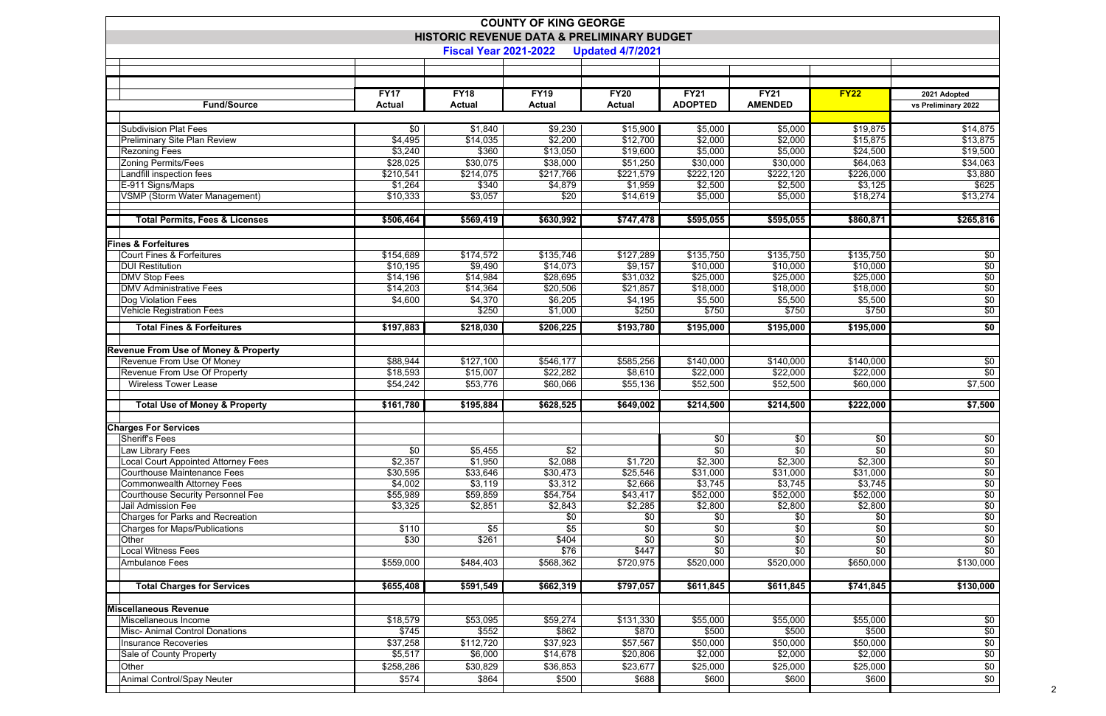|                                                                            |                   |                   | <b>COUNTY OF KING GEORGE</b> |                         |                               |                               |                   |                         |  |  |  |
|----------------------------------------------------------------------------|-------------------|-------------------|------------------------------|-------------------------|-------------------------------|-------------------------------|-------------------|-------------------------|--|--|--|
| HISTORIC REVENUE DATA & PRELIMINARY BUDGET<br><b>Fiscal Year 2021-2022</b> |                   |                   |                              |                         |                               |                               |                   |                         |  |  |  |
|                                                                            |                   |                   |                              | <b>Updated 4/7/2021</b> |                               |                               |                   |                         |  |  |  |
|                                                                            |                   |                   |                              |                         |                               |                               |                   |                         |  |  |  |
|                                                                            |                   |                   |                              |                         |                               |                               |                   |                         |  |  |  |
|                                                                            | <b>FY17</b>       | <b>FY18</b>       | <b>FY19</b>                  | <b>FY20</b>             | <b>FY21</b><br><b>ADOPTED</b> | <b>FY21</b><br><b>AMENDED</b> | <b>FY22</b>       | 2021 Adopted            |  |  |  |
| <b>Fund/Source</b>                                                         | <b>Actual</b>     | <b>Actual</b>     | <b>Actual</b>                | <b>Actual</b>           |                               |                               |                   | vs Preliminary 2022     |  |  |  |
| <b>Subdivision Plat Fees</b>                                               | \$0               | \$1,840           | \$9,230                      | \$15,900                | \$5,000                       | \$5,000                       | \$19,875          | \$14,875                |  |  |  |
| Preliminary Site Plan Review                                               | \$4,495           | \$14,035          | \$2,200                      | \$12,700                | \$2,000                       | \$2,000                       | \$15,875          | \$13,875                |  |  |  |
| <b>Rezoning Fees</b>                                                       | \$3,240           | \$360             | \$13,050                     | \$19,600                | \$5,000                       | \$5,000                       | \$24,500          | \$19,500                |  |  |  |
| <b>Zoning Permits/Fees</b>                                                 | \$28,025          | \$30,075          | \$38,000                     | \$51,250                | \$30,000                      | \$30,000                      | \$64,063          | \$34,063                |  |  |  |
| Landfill inspection fees                                                   | \$210,541         | \$214,075         | \$217,766                    | \$221,579               | \$222,120                     | \$222,120                     | \$226,000         | \$3,880                 |  |  |  |
| E-911 Signs/Maps                                                           | \$1,264           | \$340             | \$4,879                      | \$1,959                 | \$2,500                       | \$2,500                       | \$3,125           | \$625                   |  |  |  |
| <b>VSMP (Storm Water Management)</b>                                       | \$10,333          | \$3,057           | \$20                         | \$14,619                | \$5,000                       | \$5,000                       | \$18,274          | \$13,274                |  |  |  |
| <b>Total Permits, Fees &amp; Licenses</b>                                  | \$506,464         | \$569,419         | \$630,992                    | \$747,478               | \$595,055                     | \$595,055                     | \$860,871         | \$265,816               |  |  |  |
|                                                                            |                   |                   |                              |                         |                               |                               |                   |                         |  |  |  |
| <b>Fines &amp; Forfeitures</b>                                             |                   |                   |                              |                         |                               |                               |                   |                         |  |  |  |
| Court Fines & Forfeitures                                                  | \$154,689         | \$174,572         | \$135,746                    | \$127,289               | \$135,750                     | \$135,750                     | \$135,750         | $$0$                    |  |  |  |
| <b>DUI Restitution</b>                                                     | \$10,195          | \$9,490           | \$14,073                     | \$9,157                 | \$10,000                      | \$10,000                      | \$10,000          | \$0                     |  |  |  |
| <b>DMV Stop Fees</b>                                                       | \$14,196          | \$14,984          | \$28,695                     | \$31,032                | \$25,000                      | \$25,000                      | \$25,000          | \$0                     |  |  |  |
| <b>DMV Administrative Fees</b>                                             | \$14,203          | \$14,364          | \$20,506                     | \$21,857                | \$18,000                      | \$18,000                      | \$18,000          | \$0                     |  |  |  |
| Dog Violation Fees                                                         | \$4,600           | \$4,370<br>\$250  | \$6,205                      | \$4,195                 | \$5,500<br>\$750              | \$5,500<br>\$750              | \$5,500           | \$0                     |  |  |  |
| <b>Vehicle Registration Fees</b>                                           |                   |                   | \$1,000                      | \$250                   |                               |                               | \$750             | \$0                     |  |  |  |
| <b>Total Fines &amp; Forfeitures</b>                                       | \$197,883         | \$218,030         | \$206,225                    | \$193,780               | \$195,000                     | \$195,000                     | \$195,000         | \$0                     |  |  |  |
| <b>Revenue From Use of Money &amp; Property</b>                            |                   |                   |                              |                         |                               |                               |                   |                         |  |  |  |
| Revenue From Use Of Money                                                  | \$88,944          | \$127,100         | \$546,177                    | \$585,256               | $\sqrt{$140,000}$             | $\overline{$}140,000$         | \$140,000         | \$0                     |  |  |  |
| Revenue From Use Of Property                                               | \$18,593          | \$15,007          | \$22,282                     | \$8,610                 | \$22,000                      | \$22,000                      | \$22,000          | \$0                     |  |  |  |
| <b>Wireless Tower Lease</b>                                                | \$54,242          | \$53,776          | \$60,066                     | \$55,136                | \$52,500                      | \$52,500                      | \$60,000          | \$7,500                 |  |  |  |
|                                                                            |                   |                   |                              |                         |                               |                               |                   |                         |  |  |  |
| <b>Total Use of Money &amp; Property</b>                                   | \$161,780         | \$195,884         | \$628,525                    | \$649,002               | \$214,500                     | \$214,500                     | \$222,000         | \$7,500                 |  |  |  |
| <b>Charges For Services</b>                                                |                   |                   |                              |                         |                               |                               |                   |                         |  |  |  |
| Sheriff's Fees                                                             |                   |                   |                              |                         | \$0                           | \$0                           | \$0               | \$0                     |  |  |  |
| Law Library Fees                                                           | $\overline{50}$   | \$5,455           | \$2                          |                         | $\overline{60}$               | $\overline{50}$               | $\sqrt{6}$        | $\frac{$0}{$0}$         |  |  |  |
| <b>Local Court Appointed Attorney Fees</b>                                 | \$2,357           | \$1,950           | \$2,088                      | \$1,720                 | \$2,300                       | \$2,300                       | \$2,300           |                         |  |  |  |
| Courthouse Maintenance Fees                                                | \$30,595          | \$33,646          | $\overline{$}30,473$         | \$25,546                | \$31,000                      | \$31,000                      | \$31,000          | $\overline{$}0$         |  |  |  |
| <b>Commonwealth Attorney Fees</b>                                          | \$4,002           | \$3,119           | \$3,312                      | \$2,666                 | \$3,745                       | \$3,745                       | \$3,745           | $\sqrt{60}$             |  |  |  |
| <b>Courthouse Security Personnel Fee</b>                                   | \$55,989          | \$59,859          | \$54,754                     | \$43,417                | \$52,000                      | \$52,000                      | \$52,000          | $\sqrt{6}$              |  |  |  |
| Jail Admission Fee                                                         | \$3,325           | \$2,851           | \$2,843                      | \$2,285                 | \$2,800                       | \$2,800                       | \$2,800           | $\sqrt{6}$              |  |  |  |
| Charges for Parks and Recreation<br><b>Charges for Maps/Publications</b>   | \$110             | \$5               | \$0<br>\$5                   | \$0<br>\$0              | \$0<br>\$0                    | \$0<br>\$0                    | \$0<br>\$0        | \$0<br>\$0              |  |  |  |
| Other                                                                      | \$30              | \$261             | \$404                        | \$0                     | $\overline{60}$               | $\sqrt{60}$                   | $\overline{50}$   | $\sqrt{6}$              |  |  |  |
| <b>Local Witness Fees</b>                                                  |                   |                   | \$76                         | \$447                   | $\overline{30}$               | $\overline{50}$               | $\overline{50}$   | $\overline{50}$         |  |  |  |
| <b>Ambulance Fees</b>                                                      | \$559,000         | \$484,403         | \$568,362                    | \$720,975               | \$520,000                     | \$520,000                     | \$650,000         | \$130,000               |  |  |  |
|                                                                            |                   |                   |                              |                         |                               |                               |                   |                         |  |  |  |
| <b>Total Charges for Services</b>                                          | \$655,408         | \$591,549         | \$662,319                    | \$797,057               | \$611,845                     | \$611,845                     | \$741,845         | \$130,000               |  |  |  |
|                                                                            |                   |                   |                              |                         |                               |                               |                   |                         |  |  |  |
| <b>Miscellaneous Revenue</b>                                               |                   |                   |                              |                         |                               |                               |                   |                         |  |  |  |
| Miscellaneous Income                                                       | \$18,579<br>\$745 | \$53,095<br>\$552 | \$59,274<br>\$862            | \$131,330<br>\$870      | \$55,000<br>\$500             | \$55,000<br>\$500             | \$55,000<br>\$500 | \$0                     |  |  |  |
| <b>Misc-Animal Control Donations</b><br><b>Insurance Recoveries</b>        | \$37,258          | \$112,720         | \$37,923                     | \$57,567                | \$50,000                      | \$50,000                      | \$50,000          | \$0<br>$\overline{$0$}$ |  |  |  |
| Sale of County Property                                                    | \$5,517           | \$6,000           | \$14,678                     | \$20,806                | \$2,000                       | \$2,000                       | \$2,000           | $\overline{$0$}$        |  |  |  |
| Other                                                                      | \$258,286         | \$30,829          | \$36,853                     | \$23,677                | \$25,000                      | \$25,000                      | \$25,000          | \$0                     |  |  |  |
| Animal Control/Spay Neuter                                                 | \$574             | \$864             | \$500                        | \$688                   | \$600                         | \$600                         | \$600             | \$0                     |  |  |  |
|                                                                            |                   |                   |                              |                         |                               |                               |                   |                         |  |  |  |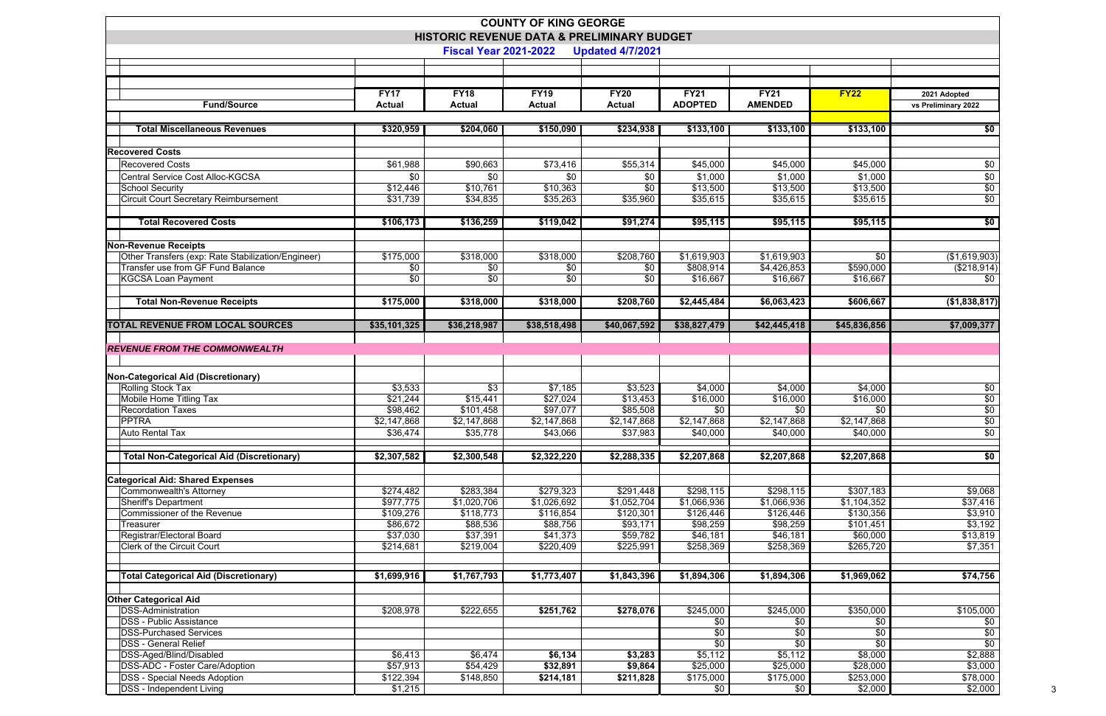|                                                                                         |                       |                              | <b>COUNTY OF KING GEORGE</b>               |                         |                               |                               |                        |                        |
|-----------------------------------------------------------------------------------------|-----------------------|------------------------------|--------------------------------------------|-------------------------|-------------------------------|-------------------------------|------------------------|------------------------|
|                                                                                         |                       |                              | HISTORIC REVENUE DATA & PRELIMINARY BUDGET |                         |                               |                               |                        |                        |
|                                                                                         |                       | <b>Fiscal Year 2021-2022</b> |                                            | <b>Updated 4/7/2021</b> |                               |                               |                        |                        |
|                                                                                         |                       |                              |                                            |                         |                               |                               |                        |                        |
|                                                                                         |                       |                              |                                            |                         |                               |                               |                        |                        |
| <b>Fund/Source</b>                                                                      | <b>FY17</b>           | <b>FY18</b>                  | <b>FY19</b>                                | <b>FY20</b>             | <b>FY21</b><br><b>ADOPTED</b> | <b>FY21</b><br><b>AMENDED</b> | <b>FY22</b>            | 2021 Adopted           |
|                                                                                         | <b>Actual</b>         | <b>Actual</b>                | <b>Actual</b>                              | <b>Actual</b>           |                               |                               |                        | vs Preliminary 2022    |
| <b>Total Miscellaneous Revenues</b>                                                     | \$320,959             | \$204,060                    | \$150,090                                  | \$234,938               | \$133,100                     | \$133,100                     | \$133,100              | \$0                    |
|                                                                                         |                       |                              |                                            |                         |                               |                               |                        |                        |
| <b>Recovered Costs</b>                                                                  |                       |                              |                                            |                         |                               |                               |                        |                        |
| <b>Recovered Costs</b>                                                                  | \$61,988              | \$90,663                     | \$73,416                                   | \$55,314                | \$45,000                      | \$45,000                      | \$45,000               | \$0                    |
| Central Service Cost Alloc-KGCSA                                                        | \$0                   | \$0                          | \$0                                        | \$0                     | \$1,000                       | \$1,000                       | \$1,000                | \$0                    |
| School Security                                                                         | \$12,446              | \$10,761                     | \$10,363                                   | \$0                     | \$13,500                      | \$13,500                      | \$13,500               | \$0<br>$\overline{50}$ |
| <b>Circuit Court Secretary Reimbursement</b>                                            | \$31,739              | \$34,835                     | \$35,263                                   | \$35,960                | \$35,615                      | \$35,615                      | \$35,615               |                        |
| <b>Total Recovered Costs</b>                                                            | \$106,173             | \$136,259                    | \$119,042                                  | \$91,274                | \$95,115                      | \$95,115                      | \$95,115               | \$0                    |
|                                                                                         |                       |                              |                                            |                         |                               |                               |                        |                        |
| <b>Non-Revenue Receipts</b>                                                             |                       |                              | \$318,000                                  |                         |                               | \$1,619,903                   |                        | $($ \$1,619,903)       |
| Other Transfers (exp: Rate Stabilization/Engineer)<br>Transfer use from GF Fund Balance | \$175,000<br>\$0      | \$318,000<br>\$0             | \$0                                        | \$208,760<br>\$0        | \$1,619,903<br>\$808,914      | \$4,426,853                   | \$0<br>\$590,000       | (\$218,914)            |
| <b>KGCSA Loan Payment</b>                                                               | \$0                   | \$0                          | \$0                                        | \$0                     | \$16,667                      | \$16,667                      | \$16,667               | \$0                    |
|                                                                                         |                       |                              |                                            |                         |                               |                               |                        |                        |
| <b>Total Non-Revenue Receipts</b>                                                       | \$175,000             | \$318,000                    | \$318,000                                  | \$208,760               | \$2,445,484                   | \$6,063,423                   | \$606,667              | (\$1,838,817)          |
| <b>TOTAL REVENUE FROM LOCAL SOURCES</b>                                                 | \$35,101,325          | \$36,218,987                 | \$38,518,498                               | \$40,067,592            | \$38,827,479                  | \$42,445,418                  | \$45,836,856           | \$7,009,377            |
|                                                                                         |                       |                              |                                            |                         |                               |                               |                        |                        |
| <b>REVENUE FROM THE COMMONWEALTH</b>                                                    |                       |                              |                                            |                         |                               |                               |                        |                        |
| Non-Categorical Aid (Discretionary)                                                     |                       |                              |                                            |                         |                               |                               |                        |                        |
| Rolling Stock Tax                                                                       | \$3,533               | \$3                          | \$7,185                                    | \$3,523                 | \$4,000                       | \$4,000                       | \$4,000                | \$0                    |
| Mobile Home Titling Tax                                                                 | \$21,244              | \$15,441                     | \$27,024                                   | \$13,453                | \$16,000                      | \$16,000                      | \$16,000               | $\sqrt{6}$             |
| <b>Recordation Taxes</b>                                                                | \$98,462              | \$101,458                    | \$97,077                                   | \$85,508                | \$0                           | \$0                           | \$0                    | $\sqrt{60}$            |
| <b>PPTRA</b>                                                                            | \$2,147,868           | \$2,147,868                  | \$2,147,868                                | \$2,147,868             | \$2,147,868                   | \$2,147,868                   | \$2,147,868            | $\overline{50}$        |
| <b>Auto Rental Tax</b>                                                                  | \$36,474              | \$35,778                     | \$43,066                                   | \$37,983                | \$40,000                      | \$40,000                      | \$40,000               | \$0                    |
| <b>Total Non-Categorical Aid (Discretionary)</b>                                        | \$2,307,582           | \$2,300,548                  | \$2,322,220                                | \$2,288,335             | \$2,207,868                   | \$2,207,868                   | \$2,207,868            | \$0                    |
|                                                                                         |                       |                              |                                            |                         |                               |                               |                        |                        |
| <b>Categorical Aid: Shared Expenses</b>                                                 |                       |                              |                                            |                         |                               |                               |                        |                        |
| Commonwealth's Attorney                                                                 | \$274,482             | \$283,384                    | \$279,323                                  | \$291,448               | \$298,115                     | \$298,115                     | \$307,183              | \$9,068                |
| <b>Sheriff's Department</b>                                                             | \$977,775             | \$1,020,706                  | \$1,026,692                                | \$1,052,704             | \$1,066,936                   | \$1,066,936                   | \$1,104,352            | \$37,416               |
| Commissioner of the Revenue<br>Treasurer                                                | \$109,276<br>\$86,672 | \$118,773<br>\$88,536        | \$116,854<br>\$88,756                      | \$120,301<br>\$93,171   | \$126,446<br>\$98,259         | \$126,446<br>\$98,259         | \$130,356<br>\$101,451 | \$3,910<br>\$3,192     |
| Registrar/Electoral Board                                                               | \$37,030              | \$37,391                     | \$41,373                                   | \$59,782                | \$46,181                      | \$46,181                      | \$60,000               | \$13,819               |
| <b>Clerk of the Circuit Court</b>                                                       | \$214,681             | \$219,004                    | \$220,409                                  | \$225,991               | \$258,369                     | \$258,369                     | \$265,720              | \$7,351                |
|                                                                                         |                       |                              |                                            |                         |                               |                               |                        |                        |
| <b>Total Categorical Aid (Discretionary)</b>                                            | \$1,699,916           | \$1,767,793                  | \$1,773,407                                | \$1,843,396             | \$1,894,306                   | \$1,894,306                   | \$1,969,062            | \$74,756               |
|                                                                                         |                       |                              |                                            |                         |                               |                               |                        |                        |
| <b>Other Categorical Aid</b><br><b>DSS-Administration</b>                               |                       |                              |                                            |                         |                               |                               |                        |                        |
| <b>DSS - Public Assistance</b>                                                          | \$208,978             | \$222,655                    | \$251,762                                  | \$278,076               | \$245,000<br>\$0              | \$245,000<br>\$0              | \$350,000<br>\$0       | \$105,000<br>\$0       |
| <b>DSS-Purchased Services</b>                                                           |                       |                              |                                            |                         | \$0                           | \$0                           | \$0                    | \$0                    |
| <b>DSS - General Relief</b>                                                             |                       |                              |                                            |                         | \$0                           | \$0                           | \$0                    | \$0                    |
| DSS-Aged/Blind/Disabled                                                                 | \$6,413               | \$6,474                      | \$6,134                                    | \$3,283                 | \$5,112                       | \$5,112                       | \$8,000                | \$2,888                |
| DSS-ADC - Foster Care/Adoption                                                          | \$57,913              | \$54,429                     | \$32,891                                   | \$9,864                 | \$25,000                      | \$25,000                      | \$28,000               | \$3,000                |
| <b>DSS</b> - Special Needs Adoption                                                     | \$122,394             | \$148,850                    | \$214,181                                  | \$211,828               | \$175,000                     | \$175,000                     | \$253,000              | \$78,000               |
| <b>DSS</b> - Independent Living                                                         | \$1,215               |                              |                                            |                         | \$0                           | \$0                           | \$2,000                | \$2,000                |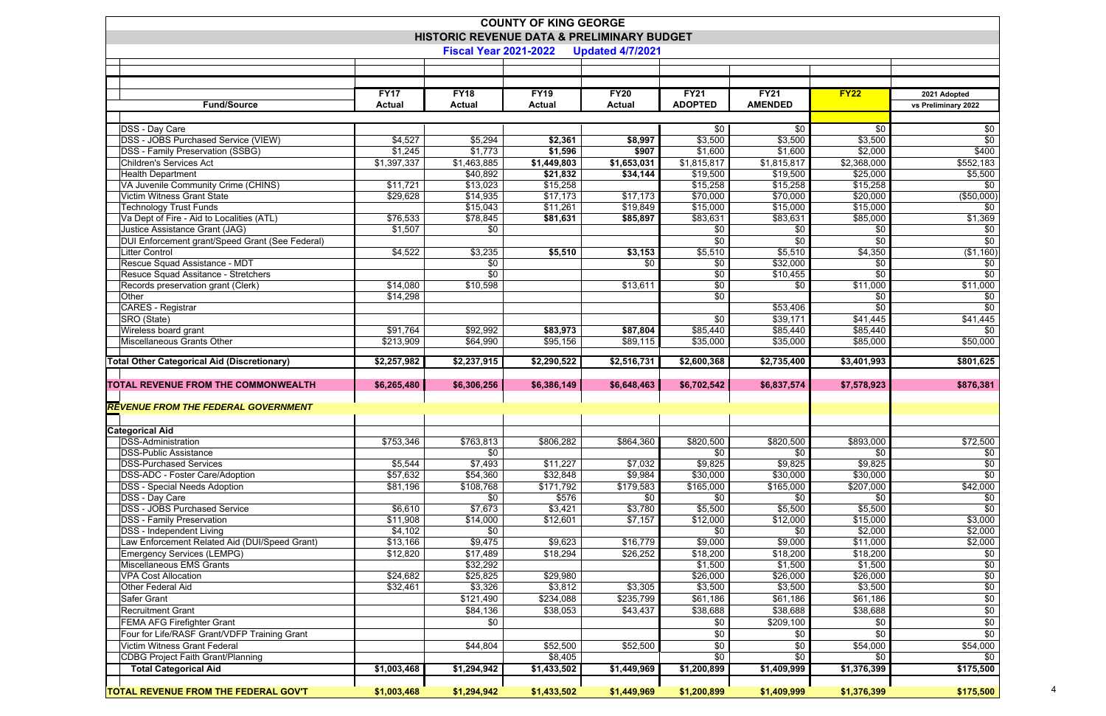| <b>COUNTY OF KING GEORGE</b>                          |                      |                              |               |                         |                          |                     |                     |                          |  |  |  |
|-------------------------------------------------------|----------------------|------------------------------|---------------|-------------------------|--------------------------|---------------------|---------------------|--------------------------|--|--|--|
| <b>HISTORIC REVENUE DATA &amp; PRELIMINARY BUDGET</b> |                      |                              |               |                         |                          |                     |                     |                          |  |  |  |
|                                                       |                      | <b>Fiscal Year 2021-2022</b> |               | <b>Updated 4/7/2021</b> |                          |                     |                     |                          |  |  |  |
|                                                       |                      |                              |               |                         |                          |                     |                     |                          |  |  |  |
|                                                       |                      |                              |               |                         |                          |                     |                     |                          |  |  |  |
|                                                       | <b>FY17</b>          | <b>FY18</b>                  | <b>FY19</b>   | <b>FY20</b>             | <b>FY21</b>              | <b>FY21</b>         | FY22                | 2021 Adopted             |  |  |  |
| <b>Fund/Source</b>                                    | <b>Actual</b>        | <b>Actual</b>                | <b>Actual</b> | <b>Actual</b>           | <b>ADOPTED</b>           | <b>AMENDED</b>      |                     | vs Preliminary 2022      |  |  |  |
|                                                       |                      |                              |               |                         |                          |                     |                     |                          |  |  |  |
| DSS - Day Care                                        |                      |                              |               |                         | \$0                      | \$0                 | \$0                 | \$0                      |  |  |  |
| <b>DSS - JOBS Purchased Service (VIEW)</b>            | \$4,527              | \$5,294                      | \$2,361       | \$8,997                 | \$3,500                  | \$3,500             | \$3,500             | $\sqrt{60}$              |  |  |  |
| <b>DSS - Family Preservation (SSBG)</b>               | \$1,245              | \$1,773                      | \$1,596       | \$907                   | \$1,600                  | \$1,600             | \$2,000             | \$400                    |  |  |  |
| Children's Services Act                               | \$1,397,337          | \$1,463,885                  | \$1,449,803   | \$1,653,031             | $\overline{\$1,815,817}$ | \$1,815,817         | \$2,368,000         | \$552,183                |  |  |  |
| <b>Health Department</b>                              |                      | \$40,892                     | \$21,832      | \$34,144                | \$19,500                 | \$19,500            | \$25,000            | \$5,500                  |  |  |  |
| VA Juvenile Community Crime (CHINS)                   | \$11,721             | \$13,023                     | \$15,258      |                         | \$15,258                 | \$15,258            | \$15,258            | \$0                      |  |  |  |
| <b>Victim Witness Grant State</b>                     | \$29,628             | \$14,935                     | \$17,173      | \$17,173                | \$70,000                 | \$70,000            | \$20,000            | ( \$50,000)              |  |  |  |
| <b>Technology Trust Funds</b>                         |                      | \$15,043                     | \$11,261      | \$19,849                | \$15,000                 | \$15,000            | \$15,000            | \$0                      |  |  |  |
| Va Dept of Fire - Aid to Localities (ATL)             | \$76,533             | \$78,845                     | \$81,631      | \$85,897                | \$83,631                 | \$83,631            | \$85,000            | \$1,369                  |  |  |  |
| Justice Assistance Grant (JAG)                        | \$1,507              | \$0                          |               |                         | \$0                      | \$0                 | \$0                 | \$0                      |  |  |  |
| DUI Enforcement grant/Speed Grant (See Federal)       |                      |                              |               |                         | \$0                      | \$0                 | \$0                 | $\overline{60}$          |  |  |  |
| Litter Control                                        | \$4,522              | \$3,235                      | \$5,510       | \$3,153                 | \$5,510                  | \$5,510             | \$4,350             | (\$1,160)                |  |  |  |
| Rescue Squad Assistance - MDT                         |                      | \$0                          |               | \$0                     | \$0                      | \$32,000            | \$0                 | $\sqrt{60}$              |  |  |  |
| Resuce Squad Assitance - Stretchers                   |                      | $\overline{30}$              |               |                         | \$0                      | \$10,455            | \$0                 | $\sqrt{60}$              |  |  |  |
| Records preservation grant (Clerk)                    | \$14,080             | \$10,598                     |               | \$13,611                | $\sqrt{6}$               | \$0                 | $\sqrt{$11,000}$    | \$11,000                 |  |  |  |
| Other                                                 | \$14,298             |                              |               |                         | $\sqrt[6]{}$             |                     | \$0                 | $\overline{30}$          |  |  |  |
| <b>CARES - Registrar</b>                              |                      |                              |               |                         |                          | \$53,406            | \$0                 | $\overline{60}$          |  |  |  |
| SRO (State)                                           |                      |                              |               |                         | \$0                      | \$39,171            | \$41,445            | \$41,445<br>\$0          |  |  |  |
| Wireless board grant<br>Miscellaneous Grants Other    | \$91,764             | \$92,992                     | \$83,973      | \$87,804                | \$85,440                 | \$85,440            | \$85,440            | \$50,000                 |  |  |  |
|                                                       | \$213,909            | \$64,990                     | \$95,156      | \$89,115                | \$35,000                 | \$35,000            | \$85,000            |                          |  |  |  |
| <b>Total Other Categorical Aid (Discretionary)</b>    |                      |                              |               |                         |                          |                     | \$3,401,993         | \$801,625                |  |  |  |
|                                                       | \$2,257,982          | \$2,237,915                  | \$2,290,522   | \$2,516,731             | \$2,600,368              | \$2,735,400         |                     |                          |  |  |  |
|                                                       |                      |                              |               |                         |                          |                     |                     |                          |  |  |  |
| TOTAL REVENUE FROM THE COMMONWEALTH                   | \$6,265,480          | \$6,306,256                  | \$6,386,149   | \$6,648,463             | \$6,702,542              | \$6,837,574         | \$7,578,923         | \$876,381                |  |  |  |
|                                                       |                      |                              |               |                         |                          |                     |                     |                          |  |  |  |
| <b>REVENUE FROM THE FEDERAL GOVERNMENT</b>            |                      |                              |               |                         |                          |                     |                     |                          |  |  |  |
|                                                       |                      |                              |               |                         |                          |                     |                     |                          |  |  |  |
| <b>Categorical Aid</b>                                |                      |                              |               |                         |                          |                     |                     |                          |  |  |  |
| DSS-Administration                                    | \$753,346            | \$763,813                    | \$806,282     | \$864,360               | \$820,500                | \$820,500           | \$893,000           | $\sqrt{$72,500}$         |  |  |  |
| <b>DSS-Public Assistance</b>                          |                      | \$0                          |               |                         | \$0                      | \$0                 | \$0                 | \$0                      |  |  |  |
| <b>DSS-Purchased Services</b>                         | \$5,544              | \$7,493                      | \$11,227      | \$7,032                 | \$9,825                  | \$9,825             | \$9,825             | $\sqrt{6}$               |  |  |  |
| <b>DSS-ADC - Foster Care/Adoption</b>                 | \$57,632             | \$54,360                     | \$32,848      | \$9,984                 | \$30,000                 | \$30,000            | \$30,000            | $\sqrt{60}$              |  |  |  |
| <b>DSS - Special Needs Adoption</b>                   | \$81,196             | \$108,768                    | \$171,792     | \$179,583               | \$165,000                | \$165,000           | \$207,000           | \$42,000                 |  |  |  |
| DSS - Day Care                                        |                      | \$0                          | \$576         | \$0                     | \$0                      | \$0                 | \$0                 | \$0                      |  |  |  |
| <b>DSS - JOBS Purchased Service</b>                   | \$6,610              | \$7,673                      | \$3,421       | \$3,780                 | \$5,500                  | \$5,500             | \$5,500             | \$0                      |  |  |  |
| <b>DSS</b> - Family Preservation                      | \$11,908             | \$14,000                     | \$12,601      | \$7,157                 | \$12,000                 | \$12,000            | \$15,000            | \$3,000                  |  |  |  |
| <b>DSS</b> - Independent Living                       | \$4,102              | \$0                          |               |                         | \$0                      | \$0                 | \$2,000             | \$2,000                  |  |  |  |
| Law Enforcement Related Aid (DUI/Speed Grant)         | \$13,166             | \$9,475                      | \$9,623       | \$16,779                | \$9,000                  | \$9,000             | \$11,000            | \$2,000                  |  |  |  |
| Emergency Services (LEMPG)                            | \$12,820             | \$17,489                     | \$18,294      | \$26,252                | \$18,200                 | \$18,200            | \$18,200            | \$0                      |  |  |  |
| Miscellaneous EMS Grants<br>VPA Cost Allocation       |                      | \$32,292                     | \$29,980      |                         | \$1,500<br>\$26,000      | \$1,500             | \$1,500<br>\$26,000 | $\sqrt{6}$               |  |  |  |
| <b>Other Federal Aid</b>                              | \$24,682<br>\$32,461 | \$25,825<br>\$3,326          | \$3,812       | \$3,305                 | \$3,500                  | \$26,000<br>\$3,500 | \$3,500             | $\sqrt{6}$<br>$\sqrt{6}$ |  |  |  |
| Safer Grant                                           |                      | \$121,490                    | \$234,088     | \$235,799               | \$61,186                 | \$61,186            | \$61,186            | \$0                      |  |  |  |
| <b>Recruitment Grant</b>                              |                      | \$84,136                     | \$38,053      | \$43,437                | \$38,688                 | \$38,688            | \$38,688            |                          |  |  |  |
| <b>FEMA AFG Firefighter Grant</b>                     |                      | \$0                          |               |                         | \$0                      | \$209,100           | \$0                 | $\$0$<br>$\sqrt{6}$      |  |  |  |
| Four for Life/RASF Grant/VDFP Training Grant          |                      |                              |               |                         | \$0                      | \$0                 | \$0                 | $\overline{50}$          |  |  |  |
| Victim Witness Grant Federal                          |                      | \$44,804                     | \$52,500      | \$52,500                | \$0                      | \$0                 | \$54,000            | \$54,000                 |  |  |  |
| <b>CDBG Project Faith Grant/Planning</b>              |                      |                              | \$8,405       |                         | $\sqrt{60}$              | $\sqrt{6}$          | \$0                 | \$0                      |  |  |  |
| <b>Total Categorical Aid</b>                          | \$1,003,468          | \$1,294,942                  | \$1,433,502   | \$1,449,969             | \$1,200,899              | \$1,409,999         | \$1,376,399         | \$175,500                |  |  |  |
| <b>TOTAL REVENUE FROM THE FEDERAL GOV'T</b>           | \$1,003,468          | \$1,294,942                  | \$1,433,502   | \$1,449,969             | \$1,200,899              | \$1,409,999         | \$1,376,399         | \$175,500                |  |  |  |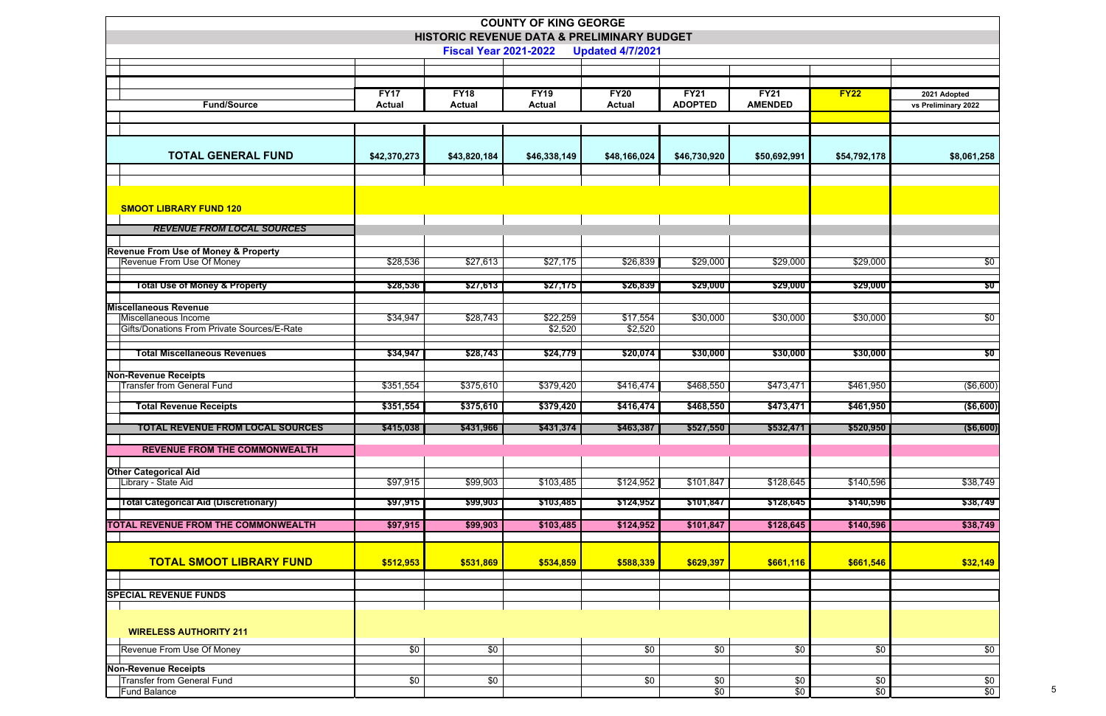|                                                                  |                              |                              | <b>COUNTY OF KING GEORGE</b><br>HISTORIC REVENUE DATA & PRELIMINARY BUDGET |                              |                               |                               |                 |                                     |
|------------------------------------------------------------------|------------------------------|------------------------------|----------------------------------------------------------------------------|------------------------------|-------------------------------|-------------------------------|-----------------|-------------------------------------|
|                                                                  |                              | <b>Fiscal Year 2021-2022</b> |                                                                            | <b>Updated 4/7/2021</b>      |                               |                               |                 |                                     |
|                                                                  |                              |                              |                                                                            |                              |                               |                               |                 |                                     |
| <b>Fund/Source</b>                                               | <b>FY17</b><br><b>Actual</b> | <b>FY18</b><br><b>Actual</b> | <b>FY19</b><br><b>Actual</b>                                               | <b>FY20</b><br><b>Actual</b> | <b>FY21</b><br><b>ADOPTED</b> | <b>FY21</b><br><b>AMENDED</b> | <b>FY22</b>     | 2021 Adopted<br>vs Preliminary 2022 |
|                                                                  |                              |                              |                                                                            |                              |                               |                               |                 |                                     |
|                                                                  |                              |                              |                                                                            |                              |                               |                               |                 |                                     |
| <b>TOTAL GENERAL FUND</b>                                        | \$42,370,273                 | \$43,820,184                 | \$46,338,149                                                               | \$48,166,024                 | \$46,730,920                  | \$50,692,991                  | \$54,792,178    | \$8,061,258                         |
|                                                                  |                              |                              |                                                                            |                              |                               |                               |                 |                                     |
| <b>SMOOT LIBRARY FUND 120</b>                                    |                              |                              |                                                                            |                              |                               |                               |                 |                                     |
| <b>REVENUE FROM LOCAL SOURCES</b>                                |                              |                              |                                                                            |                              |                               |                               |                 |                                     |
| <b>Revenue From Use of Money &amp; Property</b>                  |                              |                              |                                                                            |                              |                               |                               |                 |                                     |
| Revenue From Use Of Money                                        | \$28,536                     | \$27,613                     | \$27,175                                                                   | \$26,839                     | \$29,000                      | $\sqrt{$29,000}$              | \$29,000        | $\sqrt{50}$                         |
| <b>Total Use of Money &amp; Property</b>                         | \$28,536                     | \$27,613                     | \$27,175                                                                   | \$26,839                     | \$29,000                      | \$29,000                      | \$29,000        | \$0                                 |
| <b>Miscellaneous Revenue</b><br>Miscellaneous Income             | \$34,947                     | \$28,743                     | \$22,259                                                                   | \$17,554                     | \$30,000                      | \$30,000                      | \$30,000        | \$0                                 |
| Gifts/Donations From Private Sources/E-Rate                      |                              |                              | \$2,520                                                                    | \$2,520                      |                               |                               |                 |                                     |
| <b>Total Miscellaneous Revenues</b>                              | \$34,947                     | \$28,743                     | \$24,779                                                                   | \$20,074                     | \$30,000                      | \$30,000                      | \$30,000        | \$0                                 |
| <b>Non-Revenue Receipts</b>                                      |                              |                              |                                                                            |                              |                               |                               |                 |                                     |
| <b>Transfer from General Fund</b>                                | \$351,554                    | \$375,610                    | \$379,420                                                                  | \$416,474                    | \$468,550                     | \$473,471                     | \$461,950       | (\$6,600)                           |
| <b>Total Revenue Receipts</b>                                    | \$351,554                    | \$375,610                    | \$379,420                                                                  | \$416,474                    | \$468,550                     | \$473,471                     | \$461,950       | ( \$6,600)                          |
| <b>TOTAL REVENUE FROM LOCAL SOURCES</b>                          | \$415,038                    | \$431,966                    | \$431,374                                                                  | \$463,387                    | \$527,550                     | \$532,471                     | \$520,950       | ( \$6,600)                          |
| <b>REVENUE FROM THE COMMONWEALTH</b>                             |                              |                              |                                                                            |                              |                               |                               |                 |                                     |
| <b>Other Categorical Aid</b><br>Library - State Aid              | \$97,915                     | \$99,903                     | \$103,485                                                                  | \$124,952                    | \$101,847                     | \$128,645                     | \$140,596       | \$38,749                            |
|                                                                  |                              |                              |                                                                            |                              |                               |                               |                 |                                     |
| <b>Total Categorical Aid (Discretionary)</b>                     | \$97,915                     | \$99,903                     | \$103,485                                                                  | \$124,952                    | \$101,847                     | \$128,645                     | \$140,596       | \$38,749                            |
| <b>TOTAL REVENUE FROM THE COMMONWEALTH</b>                       | \$97,915                     | \$99,903                     | \$103,485                                                                  | \$124,952                    | \$101,847                     | \$128,645                     | \$140,596       | \$38,749                            |
| <b>TOTAL SMOOT LIBRARY FUND</b>                                  |                              |                              |                                                                            |                              |                               |                               |                 |                                     |
|                                                                  | \$512,953                    | \$531,869                    | \$534,859                                                                  | \$588,339                    | \$629,397                     | \$661,116                     | \$661,546       | \$32,149                            |
| <b>SPECIAL REVENUE FUNDS</b>                                     |                              |                              |                                                                            |                              |                               |                               |                 |                                     |
|                                                                  |                              |                              |                                                                            |                              |                               |                               |                 |                                     |
| <b>WIRELESS AUTHORITY 211</b>                                    |                              |                              |                                                                            |                              |                               |                               |                 |                                     |
| Revenue From Use Of Money                                        | $\sqrt{60}$                  | $\sqrt{60}$                  |                                                                            | $\sqrt[6]{}$                 | $\overline{60}$               | $\overline{60}$               | \$0             | $\sqrt{50}$                         |
| <b>Non-Revenue Receipts</b><br><b>Transfer from General Fund</b> | \$0                          | \$0                          |                                                                            | \$0                          | \$0                           | \$0                           | \$0             | $\sqrt{6}$                          |
| <b>Fund Balance</b>                                              |                              |                              |                                                                            |                              | $\sqrt{60}$                   | $\sqrt{60}$                   | $\overline{50}$ | \$0                                 |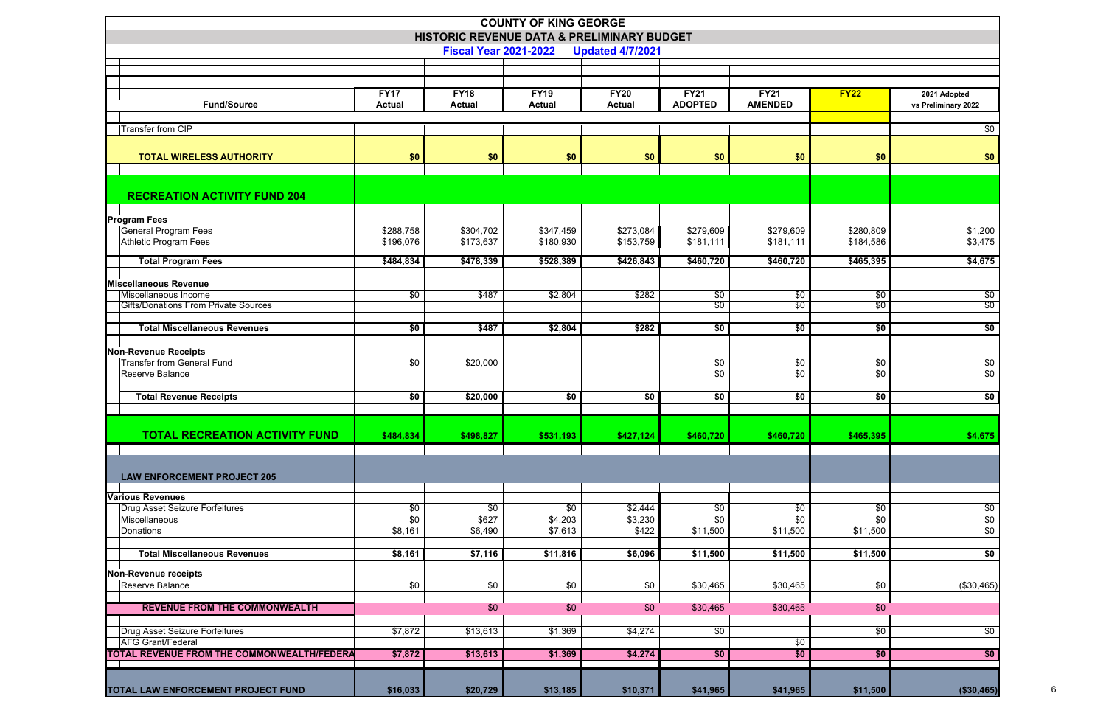| <b>COUNTY OF KING GEORGE</b><br>HISTORIC REVENUE DATA & PRELIMINARY BUDGET<br><b>Fiscal Year 2021-2022</b><br><b>Updated 4/7/2021</b> |                  |               |               |               |                   |                |                 |                     |  |  |
|---------------------------------------------------------------------------------------------------------------------------------------|------------------|---------------|---------------|---------------|-------------------|----------------|-----------------|---------------------|--|--|
|                                                                                                                                       |                  |               |               |               |                   |                |                 |                     |  |  |
|                                                                                                                                       | <b>FY17</b>      | <b>FY18</b>   | <b>FY19</b>   | <b>FY20</b>   | <b>FY21</b>       | <b>FY21</b>    | FY22            | 2021 Adopted        |  |  |
| <b>Fund/Source</b>                                                                                                                    | <b>Actual</b>    | <b>Actual</b> | <b>Actual</b> | <b>Actual</b> | <b>ADOPTED</b>    | <b>AMENDED</b> |                 | vs Preliminary 2022 |  |  |
|                                                                                                                                       |                  |               |               |               |                   |                |                 |                     |  |  |
| <b>Transfer from CIP</b>                                                                                                              |                  |               |               |               |                   |                |                 | $\overline{50}$     |  |  |
| <b>TOTAL WIRELESS AUTHORITY</b>                                                                                                       | \$0              | \$0           | \$0           | \$0           | \$0               | \$0            | \$0             | \$0                 |  |  |
|                                                                                                                                       |                  |               |               |               |                   |                |                 |                     |  |  |
| <b>RECREATION ACTIVITY FUND 204</b>                                                                                                   |                  |               |               |               |                   |                |                 |                     |  |  |
| <b>Program Fees</b>                                                                                                                   |                  |               |               |               |                   |                |                 |                     |  |  |
| <b>General Program Fees</b>                                                                                                           | \$288,758        | \$304,702     | \$347,459     | \$273,084     | $\sqrt{$279,609}$ | \$279,609      | \$280,809       | \$1,200             |  |  |
| <b>Athletic Program Fees</b>                                                                                                          | \$196,076        | \$173,637     | \$180,930     | \$153,759     | \$181,111         | \$181,111      | \$184,586       | \$3,475             |  |  |
| <b>Total Program Fees</b>                                                                                                             | \$484,834        | \$478,339     | \$528,389     | \$426,843     | \$460,720         | \$460,720      | \$465,395       | \$4,675             |  |  |
|                                                                                                                                       |                  |               |               |               |                   |                |                 |                     |  |  |
| <b>Miscellaneous Revenue</b><br>Miscellaneous Income                                                                                  | \$0              | \$487         | \$2,804       | \$282         | \$0               | \$0            | \$0             | \$0                 |  |  |
| <b>Gifts/Donations From Private Sources</b>                                                                                           |                  |               |               |               | $\overline{50}$   | $\sqrt{6}$     | \$0             | \$0                 |  |  |
|                                                                                                                                       |                  |               |               |               |                   |                |                 |                     |  |  |
| <b>Total Miscellaneous Revenues</b>                                                                                                   | $\overline{\$0}$ | \$487         | \$2,804       | \$282         | $\frac{1}{6}$     | \$0            | \$0             | \$0                 |  |  |
| <b>Non-Revenue Receipts</b>                                                                                                           |                  |               |               |               |                   |                |                 |                     |  |  |
| <b>Transfer from General Fund</b>                                                                                                     | $\sqrt{60}$      | \$20,000      |               |               | $\sqrt{60}$       | \$0            | $\overline{60}$ | \$0                 |  |  |
| Reserve Balance                                                                                                                       |                  |               |               |               | \$0               | \$0            | \$0             | $\sqrt{60}$         |  |  |
| <b>Total Revenue Receipts</b>                                                                                                         | \$0              | \$20,000      | \$0           | \$0           | \$0               | \$0            | \$0             | \$0                 |  |  |
|                                                                                                                                       |                  |               |               |               |                   |                |                 |                     |  |  |
| <b>TOTAL RECREATION ACTIVITY FUND</b>                                                                                                 | \$484,834        | \$498,827     | \$531,193     | \$427,124     | \$460,720         | \$460,720      | \$465,395       | \$4,675             |  |  |
|                                                                                                                                       |                  |               |               |               |                   |                |                 |                     |  |  |
| <b>LAW ENFORCEMENT PROJECT 205</b>                                                                                                    |                  |               |               |               |                   |                |                 |                     |  |  |
| <b>Various Revenues</b>                                                                                                               |                  |               |               |               |                   |                |                 |                     |  |  |
| Drug Asset Seizure Forfeitures                                                                                                        | \$0              | \$0           | \$0           | \$2,444       | \$0               | \$0            | \$0             | \$0                 |  |  |
| Miscellaneous                                                                                                                         | $\overline{50}$  | \$627         | \$4,203       | \$3,230       | $\sqrt{$0}$       | \$0            | \$0             | $\sqrt{6}$          |  |  |
| Donations                                                                                                                             | \$8,161          | \$6,490       | \$7,613       | \$422         | \$11,500          | \$11,500       | \$11,500        | $\overline{60}$     |  |  |
| <b>Total Miscellaneous Revenues</b>                                                                                                   | \$8,161          | \$7,116       | \$11,816      | \$6,096       | \$11,500          | \$11,500       | \$11,500        | \$0                 |  |  |
| Non-Revenue receipts                                                                                                                  |                  |               |               |               |                   |                |                 |                     |  |  |
| <b>Reserve Balance</b>                                                                                                                | \$0              | \$0           | \$0           | \$0           | \$30,465          | \$30,465       | \$0             | (\$30,465)          |  |  |
|                                                                                                                                       |                  |               |               |               |                   |                |                 |                     |  |  |
| <b>REVENUE FROM THE COMMONWEALTH</b>                                                                                                  |                  | \$0           | \$0           | \$0           | \$30,465          | \$30,465       | \$0             |                     |  |  |
| Drug Asset Seizure Forfeitures                                                                                                        | \$7,872          | \$13,613      | \$1,369       | \$4,274       | \$0               |                | \$0             | \$0                 |  |  |
| <b>AFG Grant/Federal</b>                                                                                                              |                  |               |               |               |                   | \$0            |                 |                     |  |  |
| <b>TOTAL REVENUE FROM THE COMMONWEALTH/FEDERA</b>                                                                                     | \$7,872          | \$13,613      | \$1,369       | \$4,274       | \$0               | \$0            | \$0             | \$0                 |  |  |
|                                                                                                                                       |                  |               |               |               |                   |                |                 |                     |  |  |
| TOTAL LAW ENFORCEMENT PROJECT FUND                                                                                                    | \$16,033         | \$20,729      | \$13,185      | \$10,371      | \$41,965          | \$41,965       | \$11,500        | (\$30,465)          |  |  |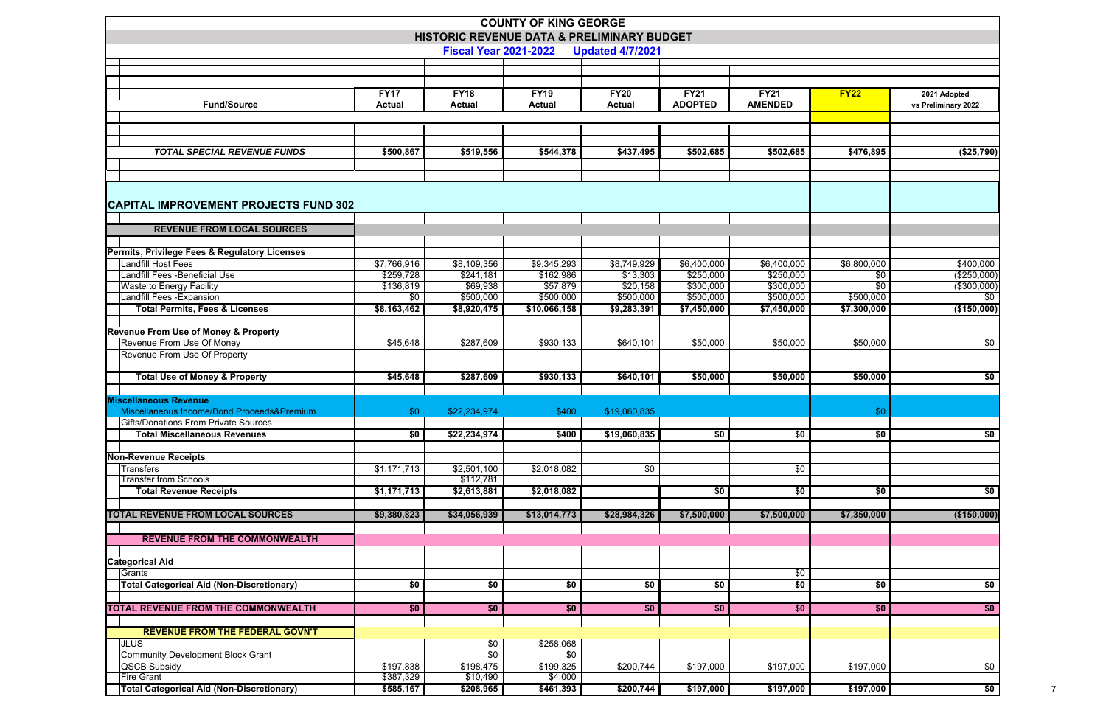|                                                  |               |                                            | <b>COUNTY OF KING GEORGE</b> |                         |                |                |             |                     |
|--------------------------------------------------|---------------|--------------------------------------------|------------------------------|-------------------------|----------------|----------------|-------------|---------------------|
|                                                  |               | HISTORIC REVENUE DATA & PRELIMINARY BUDGET |                              |                         |                |                |             |                     |
|                                                  |               | <b>Fiscal Year 2021-2022</b>               |                              | <b>Updated 4/7/2021</b> |                |                |             |                     |
|                                                  |               |                                            |                              |                         |                |                |             |                     |
|                                                  |               |                                            |                              |                         |                |                |             |                     |
|                                                  | <b>FY17</b>   | <b>FY18</b>                                | <b>FY19</b>                  | <b>FY20</b>             | <b>FY21</b>    | <b>FY21</b>    | FY22        | 2021 Adopted        |
| <b>Fund/Source</b>                               | <b>Actual</b> | <b>Actual</b>                              | <b>Actual</b>                | <b>Actual</b>           | <b>ADOPTED</b> | <b>AMENDED</b> |             | vs Preliminary 2022 |
|                                                  |               |                                            |                              |                         |                |                |             |                     |
|                                                  |               |                                            |                              |                         |                |                |             |                     |
| <b>TOTAL SPECIAL REVENUE FUNDS</b>               | \$500,867     | \$519,556                                  | \$544,378                    | \$437,495               | \$502,685      | \$502,685      | \$476,895   | (\$25,790)          |
|                                                  |               |                                            |                              |                         |                |                |             |                     |
|                                                  |               |                                            |                              |                         |                |                |             |                     |
|                                                  |               |                                            |                              |                         |                |                |             |                     |
| <b>CAPITAL IMPROVEMENT PROJECTS FUND 302</b>     |               |                                            |                              |                         |                |                |             |                     |
|                                                  |               |                                            |                              |                         |                |                |             |                     |
| <b>REVENUE FROM LOCAL SOURCES</b>                |               |                                            |                              |                         |                |                |             |                     |
| Permits, Privilege Fees & Regulatory Licenses    |               |                                            |                              |                         |                |                |             |                     |
| Landfill Host Fees                               | \$7,766,916   | \$8,109,356                                | \$9,345,293                  | \$8,749,929             | \$6,400,000    | \$6,400,000    | \$6,800,000 | \$400,000           |
| Landfill Fees - Beneficial Use                   | \$259,728     | \$241,181                                  | \$162,986                    | \$13,303                | \$250,000      | \$250,000      | \$0         | (\$250,000)         |
| Waste to Energy Facility                         | \$136,819     | \$69,938                                   | \$57,879                     | \$20,158                | \$300,000      | \$300,000      | \$0         | (\$300,000)         |
| Landfill Fees - Expansion                        | \$0           | \$500,000                                  | \$500,000                    | \$500,000               | \$500,000      | \$500,000      | \$500,000   | $\overline{50}$     |
| <b>Total Permits, Fees &amp; Licenses</b>        | \$8,163,462   | \$8,920,475                                | \$10,066,158                 | \$9,283,391             | \$7,450,000    | \$7,450,000    | \$7,300,000 | (\$150,000)         |
| <b>Revenue From Use of Money &amp; Property</b>  |               |                                            |                              |                         |                |                |             |                     |
| Revenue From Use Of Money                        | \$45,648      | \$287,609                                  | \$930,133                    | \$640,101               | \$50,000       | \$50,000       | \$50,000    | \$0                 |
| Revenue From Use Of Property                     |               |                                            |                              |                         |                |                |             |                     |
|                                                  |               |                                            |                              |                         |                |                |             |                     |
| <b>Total Use of Money &amp; Property</b>         | \$45,648      | \$287,609                                  | \$930,133                    | \$640,101               | \$50,000       | \$50,000       | \$50,000    | \$0                 |
| <b>Miscellaneous Revenue</b>                     |               |                                            |                              |                         |                |                |             |                     |
| Miscellaneous Income/Bond Proceeds&Premium       | \$0           | \$22,234,974                               | \$400                        | \$19,060,835            |                |                | \$0         |                     |
| <b>Gifts/Donations From Private Sources</b>      |               |                                            |                              |                         |                |                |             |                     |
| <b>Total Miscellaneous Revenues</b>              | \$0           | \$22,234,974                               | \$400                        | \$19,060,835            | \$0            | \$0            | \$0         | \$0                 |
|                                                  |               |                                            |                              |                         |                |                |             |                     |
| <b>Non-Revenue Receipts</b><br><b>Transfers</b>  | \$1,171,713   |                                            |                              | \$0                     |                | \$0            |             |                     |
| <b>Transfer from Schools</b>                     |               | \$2,501,100<br>\$112,781                   | \$2,018,082                  |                         |                |                |             |                     |
| <b>Total Revenue Receipts</b>                    | \$1,171,713   | \$2,613,881                                | \$2,018,082                  |                         | \$0            | \$0            | \$0         | \$0                 |
|                                                  |               |                                            |                              |                         |                |                |             |                     |
| <b>TOTAL REVENUE FROM LOCAL SOURCES</b>          | \$9,380,823   | \$34,056,939                               | \$13,014,773                 | \$28,984,326            | \$7,500,000    | \$7,500,000    | \$7,350,000 | (\$150,000)         |
|                                                  |               |                                            |                              |                         |                |                |             |                     |
| <b>REVENUE FROM THE COMMONWEALTH</b>             |               |                                            |                              |                         |                |                |             |                     |
| <b>Categorical Aid</b>                           |               |                                            |                              |                         |                |                |             |                     |
| Grants                                           |               |                                            |                              |                         |                | \$0            |             |                     |
| <b>Total Categorical Aid (Non-Discretionary)</b> | \$0           | \$0                                        | \$0                          | \$0                     | \$0            | \$0            | \$0         | \$0                 |
|                                                  |               |                                            |                              |                         |                |                |             |                     |
| <b>TOTAL REVENUE FROM THE COMMONWEALTH</b>       | \$0           | \$0                                        | \$0                          | \$0                     | \$0            | \$0            | \$0         | \$0                 |
| <b>REVENUE FROM THE FEDERAL GOVN'T</b>           |               |                                            |                              |                         |                |                |             |                     |
| <b>JLUS</b>                                      |               | \$0                                        | \$258,068                    |                         |                |                |             |                     |
| Community Development Block Grant                |               | \$0                                        | \$0                          |                         |                |                |             |                     |
| QSCB Subsidy                                     | \$197,838     | \$198,475                                  | \$199,325                    | \$200,744               | \$197,000      | \$197,000      | \$197,000   | \$0                 |
| <b>Fire Grant</b>                                | \$387,329     | \$10,490                                   | \$4,000                      |                         |                |                |             |                     |
| <b>Total Categorical Aid (Non-Discretionary)</b> | \$585,167     | \$208,965                                  | \$461,393                    | \$200,744               | \$197,000      | \$197,000      | \$197,000   | \$0                 |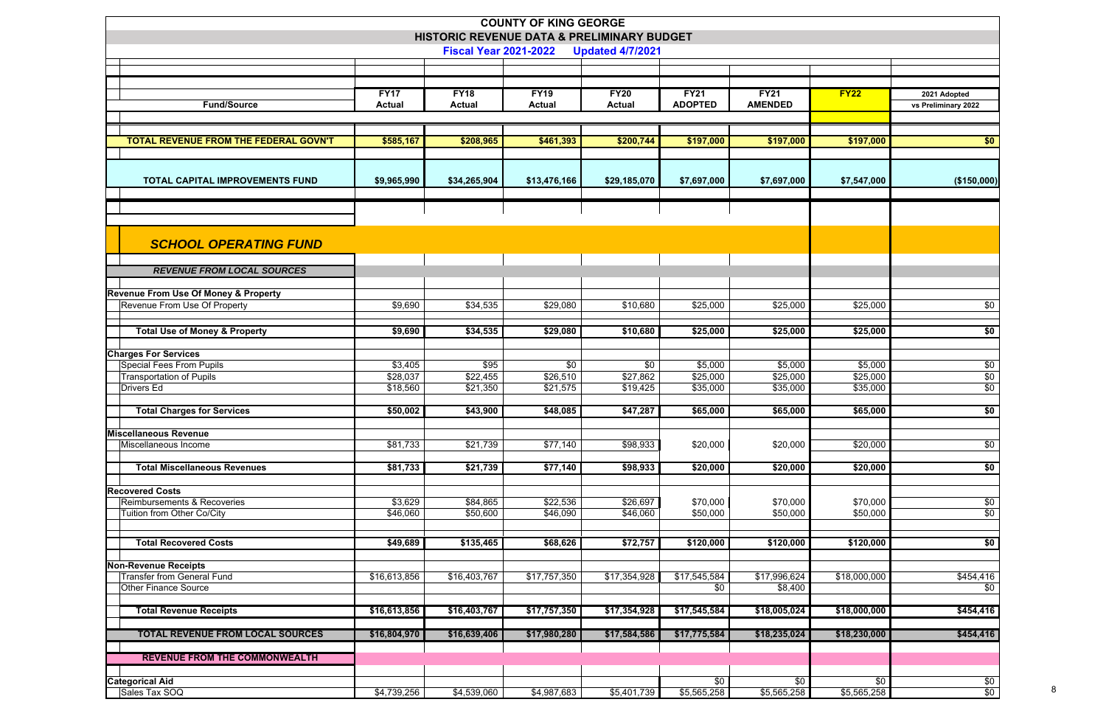|                                                 |                      |                              | <b>COUNTY OF KING GEORGE</b>               |                         |                      |                      |                      |                     |
|-------------------------------------------------|----------------------|------------------------------|--------------------------------------------|-------------------------|----------------------|----------------------|----------------------|---------------------|
|                                                 |                      | <b>Fiscal Year 2021-2022</b> | HISTORIC REVENUE DATA & PRELIMINARY BUDGET | <b>Updated 4/7/2021</b> |                      |                      |                      |                     |
|                                                 |                      |                              |                                            |                         |                      |                      |                      |                     |
|                                                 |                      |                              |                                            |                         |                      |                      |                      |                     |
|                                                 | <b>FY17</b>          | <b>FY18</b>                  | <b>FY19</b>                                | <b>FY20</b>             | <b>FY21</b>          | <b>FY21</b>          | <b>FY22</b>          | 2021 Adopted        |
| <b>Fund/Source</b>                              | <b>Actual</b>        | <b>Actual</b>                | <b>Actual</b>                              | <b>Actual</b>           | <b>ADOPTED</b>       | <b>AMENDED</b>       |                      | vs Preliminary 2022 |
|                                                 |                      |                              |                                            |                         |                      |                      |                      |                     |
| <b>TOTAL REVENUE FROM THE FEDERAL GOVN'T</b>    | \$585,167            | \$208,965                    | \$461,393                                  | \$200,744               | \$197,000            | \$197,000            | \$197,000            | \$0                 |
|                                                 |                      |                              |                                            |                         |                      |                      |                      |                     |
| <b>TOTAL CAPITAL IMPROVEMENTS FUND</b>          | \$9,965,990          | \$34,265,904                 | \$13,476,166                               | \$29,185,070            | \$7,697,000          | \$7,697,000          | \$7,547,000          | (\$150,000)         |
|                                                 |                      |                              |                                            |                         |                      |                      |                      |                     |
|                                                 |                      |                              |                                            |                         |                      |                      |                      |                     |
|                                                 |                      |                              |                                            |                         |                      |                      |                      |                     |
|                                                 |                      |                              |                                            |                         |                      |                      |                      |                     |
| <b>SCHOOL OPERATING FUND</b>                    |                      |                              |                                            |                         |                      |                      |                      |                     |
| <b>REVENUE FROM LOCAL SOURCES</b>               |                      |                              |                                            |                         |                      |                      |                      |                     |
|                                                 |                      |                              |                                            |                         |                      |                      |                      |                     |
| <b>Revenue From Use Of Money &amp; Property</b> |                      |                              |                                            |                         |                      |                      |                      |                     |
| Revenue From Use Of Property                    | \$9,690              | \$34,535                     | \$29,080                                   | \$10,680                | \$25,000             | \$25,000             | \$25,000             | \$0                 |
|                                                 |                      |                              |                                            |                         |                      |                      |                      |                     |
| <b>Total Use of Money &amp; Property</b>        | \$9,690              | \$34,535                     | \$29,080                                   | \$10,680                | \$25,000             | \$25,000             | \$25,000             | \$0                 |
| <b>Charges For Services</b>                     |                      |                              |                                            |                         |                      |                      |                      |                     |
| Special Fees From Pupils                        | \$3,405              | \$95                         | \$0                                        | \$0                     | \$5,000              | \$5,000              | \$5,000              | \$0                 |
| <b>Transportation of Pupils</b><br>Drivers Ed   | \$28,037<br>\$18,560 | \$22,455<br>\$21,350         | \$26,510<br>\$21,575                       | \$27,862<br>\$19,425    | \$25,000<br>\$35,000 | \$25,000<br>\$35,000 | \$25,000<br>\$35,000 | $\sqrt{6}$<br>\$0   |
|                                                 |                      |                              |                                            |                         |                      |                      |                      |                     |
| <b>Total Charges for Services</b>               | \$50,002             | \$43,900                     | \$48,085                                   | \$47,287                | \$65,000             | \$65,000             | \$65,000             | \$0                 |
| <b>Miscellaneous Revenue</b>                    |                      |                              |                                            |                         |                      |                      |                      |                     |
| Miscellaneous Income                            | \$81,733             | \$21,739                     | \$77,140                                   | \$98,933                | \$20,000             | \$20,000             | \$20,000             | \$0                 |
|                                                 |                      |                              |                                            |                         |                      |                      |                      |                     |
| <b>Total Miscellaneous Revenues</b>             | \$81,733             | \$21,739                     | \$77,140                                   | \$98,933                | \$20,000             | \$20,000             | \$20,000             | \$0                 |
| <b>Recovered Costs</b>                          |                      |                              |                                            |                         |                      |                      |                      |                     |
| Reimbursements & Recoveries                     | \$3,629              | \$84,865                     | \$22,536                                   | \$26,697                | \$70,000             | \$70,000             | \$70,000             | \$0                 |
| Tuition from Other Co/City                      | \$46,060             | \$50,600                     | \$46,090                                   | \$46,060                | \$50,000             | \$50,000             | \$50,000             | \$0                 |
|                                                 |                      |                              |                                            |                         |                      |                      |                      |                     |
| <b>Total Recovered Costs</b>                    | \$49,689             | \$135,465                    | \$68,626                                   | \$72,757                | \$120,000            | \$120,000            | \$120,000            | \$0                 |
| <b>Non-Revenue Receipts</b>                     |                      |                              |                                            |                         |                      |                      |                      |                     |
| <b>Transfer from General Fund</b>               | \$16,613,856         | \$16,403,767                 | \$17,757,350                               | \$17,354,928            | \$17,545,584         | \$17,996,624         | \$18,000,000         | \$454,416           |
| <b>Other Finance Source</b>                     |                      |                              |                                            |                         | \$0                  | \$8,400              |                      | \$0                 |
| <b>Total Revenue Receipts</b>                   | \$16,613,856         | \$16,403,767                 | \$17,757,350                               | \$17,354,928            | \$17,545,584         | \$18,005,024         | \$18,000,000         | \$454,416           |
|                                                 |                      |                              |                                            |                         |                      |                      |                      |                     |
| <b>TOTAL REVENUE FROM LOCAL SOURCES</b>         | \$16,804,970         | \$16,639,406                 | \$17,980,280                               | \$17,584,586            | \$17,775,584         | \$18,235,024         | \$18,230,000         | \$454,416           |
| <b>REVENUE FROM THE COMMONWEALTH</b>            |                      |                              |                                            |                         |                      |                      |                      |                     |
|                                                 |                      |                              |                                            |                         |                      |                      |                      |                     |
| <b>Categorical Aid</b>                          |                      |                              |                                            |                         | \$0                  | \$0                  | \$0                  | \$0                 |
| Sales Tax SOQ                                   | \$4,739,256          | \$4,539,060                  | \$4,987,683                                | \$5,401,739             | \$5,565,258          | \$5,565,258          | \$5,565,258          | \$0                 |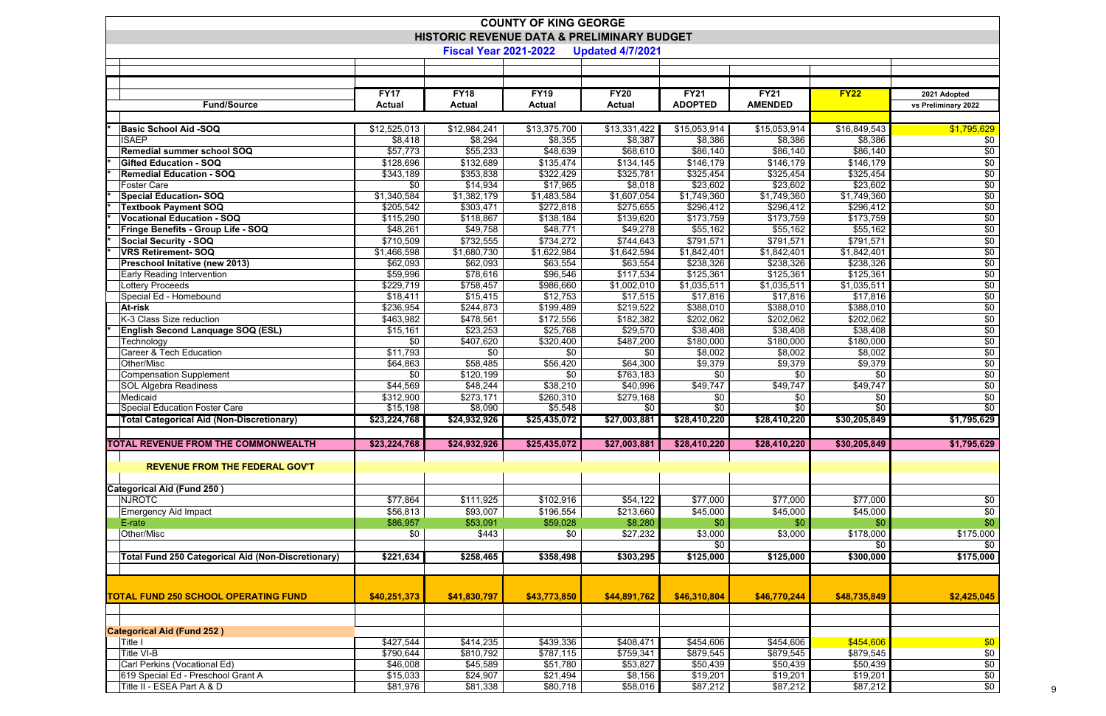| <b>COUNTY OF KING GEORGE</b>                              |                        |                              |                                            |                         |                        |                         |                        |                        |  |  |
|-----------------------------------------------------------|------------------------|------------------------------|--------------------------------------------|-------------------------|------------------------|-------------------------|------------------------|------------------------|--|--|
|                                                           |                        |                              | HISTORIC REVENUE DATA & PRELIMINARY BUDGET |                         |                        |                         |                        |                        |  |  |
|                                                           |                        | <b>Fiscal Year 2021-2022</b> |                                            | <b>Updated 4/7/2021</b> |                        |                         |                        |                        |  |  |
|                                                           |                        |                              |                                            |                         |                        |                         |                        |                        |  |  |
|                                                           |                        |                              |                                            |                         |                        |                         |                        |                        |  |  |
|                                                           | <b>FY17</b>            | <b>FY18</b>                  | <b>FY19</b>                                | <b>FY20</b>             | <b>FY21</b>            | <b>FY21</b>             | FY22                   | 2021 Adopted           |  |  |
| <b>Fund/Source</b>                                        | <b>Actual</b>          | <b>Actual</b>                | <b>Actual</b>                              | <b>Actual</b>           | <b>ADOPTED</b>         | <b>AMENDED</b>          |                        | vs Preliminary 2022    |  |  |
|                                                           |                        |                              |                                            |                         |                        |                         |                        |                        |  |  |
| <b>Basic School Aid -SOQ</b>                              | \$12,525,013           | \$12,984,241                 | \$13,375,700                               | \$13,331,422            | \$15,053,914           | \$15,053,914            | \$16,849,543           | $\sqrt{$1,795,629}$    |  |  |
| <b>ISAEP</b>                                              | \$8,418                | \$8,294                      | \$8,355                                    | \$8,387                 | \$8,386                | \$8,386                 | \$8,386                | \$0                    |  |  |
| <b>Remedial summer school SOQ</b>                         | \$57,773               | \$55,233                     | \$48,639                                   | \$68,610                | \$86,140               | \$86,140                | \$86,140               | $\sqrt{6}$             |  |  |
| <b>Gifted Education - SOQ</b>                             | \$128,696              | \$132,689                    | \$135,474                                  | \$134,145               | \$146,179              | \$146,179               | \$146, 179             | $\overline{50}$        |  |  |
| <b>Remedial Education - SOQ</b>                           | \$343,189<br>\$0       | \$353,838                    | \$322,429                                  | \$325,781               | \$325,454<br>\$23,602  | \$325,454               | \$325,454<br>\$23,602  | $\overline{50}$        |  |  |
| <b>Foster Care</b><br><b>Special Education-SOQ</b>        | \$1,340,584            | \$14,934<br>\$1,382,179      | \$17,965<br>\$1,483,584                    | \$8,018<br>\$1,607,054  | \$1,749,360            | \$23,602<br>\$1,749,360 | \$1,749,360            | $\overline{50}$<br>\$0 |  |  |
| <b>Textbook Payment SOQ</b>                               | \$205,542              | \$303,471                    | \$272,818                                  | \$275,655               | \$296,412              | \$296,412               | \$296,412              | \$0                    |  |  |
| <b>Vocational Education - SOQ</b>                         | \$115,290              | \$118,867                    | \$138,184                                  | \$139,620               | \$173,759              | \$173,759               | \$173,759              | \$0                    |  |  |
| Fringe Benefits - Group Life - SOQ                        | \$48,261               | \$49,758                     | \$48,771                                   | \$49,278                | \$55,162               | \$55,162                | \$55,162               | \$0                    |  |  |
| <b>Social Security - SOQ</b>                              | \$710,509              | \$732,555                    | \$734,272                                  | \$744,643               | \$791,571              | \$791,571               | \$791,571              | \$0                    |  |  |
| <b>VRS Retirement-SOQ</b>                                 | \$1,466,598            | \$1,680,730                  | \$1,622,984                                | \$1,642,594             | $\sqrt{$1,842,401}$    | \$1,842,401             | \$1,842,401            | \$0                    |  |  |
| Preschool Initative (new 2013)                            | \$62,093               | \$62,093                     | \$63,554                                   | \$63,554                | \$238,326              | \$238,326               | \$238,326              | $\sqrt{6}$             |  |  |
| <b>Early Reading Intervention</b>                         | \$59,996               | \$78,616                     | \$96,546                                   | \$117,534               | \$125,361              | \$125,361               | \$125,361              | $\sqrt{6}$             |  |  |
| <b>Lottery Proceeds</b>                                   | \$229,719              | \$758,457                    | \$986,660                                  | \$1,002,010             | \$1,035,511            | \$1,035,511             | \$1,035,511            | \$0                    |  |  |
| Special Ed - Homebound                                    | \$18,411               | \$15,415                     | \$12,753                                   | \$17,515                | \$17,816               | \$17,816                | \$17,816               | $\overline{$}0$        |  |  |
| At-risk<br>K-3 Class Size reduction                       | \$236,954<br>\$463,982 | \$244,873<br>\$478,561       | \$199,489<br>\$172,556                     | \$219,522<br>\$182,382  | \$388,010<br>\$202,062 | \$388,010<br>\$202,062  | \$388,010<br>\$202,062 | \$0<br>\$0             |  |  |
| English Second Lanquage SOQ (ESL)                         | \$15,161               | \$23,253                     | \$25,768                                   | \$29,570                | \$38,408               | \$38,408                | \$38,408               | $\sqrt{6}$             |  |  |
| Technology                                                | \$0                    | \$407,620                    | \$320,400                                  | \$487,200               | $\overline{$}180,000$  | \$180,000               | \$180,000              | $\sqrt{6}$             |  |  |
| <b>Career &amp; Tech Education</b>                        | \$11,793               | \$0                          | \$0                                        | \$0                     | \$8,002                | \$8,002                 | \$8,002                | $\sqrt{6}$             |  |  |
| Other/Misc                                                | \$64,863               | \$58,485                     | \$56,420                                   | \$64,300                | \$9,379                | \$9,379                 | \$9,379                | \$0                    |  |  |
| <b>Compensation Supplement</b>                            | \$0                    | \$120,199                    | \$0                                        | \$763,183               | \$0                    | \$0                     | \$0                    | \$0                    |  |  |
| <b>SOL Algebra Readiness</b>                              | \$44,569               | \$48,244                     | \$38,210                                   | \$40,996                | \$49,747               | \$49,747                | \$49,747               | $\sqrt{6}$             |  |  |
| Medicaid                                                  | \$312,900              | \$273,171                    | \$260,310                                  | \$279,168               | \$0                    | \$0                     | \$0                    | \$0                    |  |  |
| <b>Special Education Foster Care</b>                      | \$15,198               | \$8,090                      | \$5,548                                    | \$0                     | $\sqrt{6}$             | \$0                     | $\sqrt{6}$             | \$0                    |  |  |
| Total Categorical Aid (Non-Discretionary)                 | \$23,224,768           | $\sqrt{24,932,926}$          | \$25,435,072                               | $\sqrt{$27,003,881}$    | \$28,410,220           | \$28,410,220            | \$30,205,849           | \$1,795,629            |  |  |
| <b>TOTAL REVENUE FROM THE COMMONWEALTH</b>                |                        |                              |                                            |                         |                        |                         |                        | \$1,795,629            |  |  |
|                                                           | \$23,224,768           | \$24,932,926                 | \$25,435,072                               | \$27,003,881            | \$28,410,220           | \$28,410,220            | \$30,205,849           |                        |  |  |
| <b>REVENUE FROM THE FEDERAL GOV'T</b>                     |                        |                              |                                            |                         |                        |                         |                        |                        |  |  |
|                                                           |                        |                              |                                            |                         |                        |                         |                        |                        |  |  |
| <b>Categorical Aid (Fund 250)</b>                         |                        |                              |                                            |                         |                        |                         |                        |                        |  |  |
| <b>NJROTC</b>                                             | \$77,864               | \$111,925                    | \$102,916                                  | \$54,122                | \$77,000               | \$77,000                | \$77,000               | \$0                    |  |  |
| <b>Emergency Aid Impact</b>                               | \$56,813               | \$93,007                     | \$196,554                                  | \$213,660               | \$45,000               | \$45,000                | \$45,000               | \$0                    |  |  |
| E-rate                                                    | \$86,957               | \$53,091                     | \$59,028                                   | \$8,280                 | \$0                    | \$0                     | \$0                    | \$0                    |  |  |
| Other/Misc                                                | \$0                    | \$443                        | \$0                                        | \$27,232                | \$3,000                | \$3,000                 | \$178,000              | \$175,000              |  |  |
|                                                           |                        |                              |                                            |                         | \$0                    |                         | \$0                    | \$0                    |  |  |
| <b>Total Fund 250 Categorical Aid (Non-Discretionary)</b> | \$221,634              | \$258,465                    | \$358,498                                  | \$303,295               | \$125,000              | \$125,000               | \$300,000              | \$175,000              |  |  |
|                                                           |                        |                              |                                            |                         |                        |                         |                        |                        |  |  |
|                                                           |                        |                              |                                            |                         |                        |                         |                        |                        |  |  |
| <b>TOTAL FUND 250 SCHOOL OPERATING FUND</b>               | \$40,251,373           | \$41,830,797                 | \$43,773,850                               | \$44,891,762            | \$46,310,804           | \$46,770,244            | \$48,735,849           | \$2,425,045            |  |  |
|                                                           |                        |                              |                                            |                         |                        |                         |                        |                        |  |  |
|                                                           |                        |                              |                                            |                         |                        |                         |                        |                        |  |  |
| <b>Categorical Aid (Fund 252)</b><br>Title I              | \$427,544              | \$414,235                    | \$439,336                                  | \$408,471               | \$454,606              | \$454,606               | \$454,606              | \$0                    |  |  |
| Title VI-B                                                | \$790,644              | \$810,792                    | \$787,115                                  | \$759,341               | \$879,545              | \$879,545               | \$879,545              | \$0                    |  |  |
| Carl Perkins (Vocational Ed)                              | \$46,008               | \$45,589                     | \$51,780                                   | \$53,827                | \$50,439               | \$50,439                | \$50,439               |                        |  |  |
| 619 Special Ed - Preschool Grant A                        | \$15,033               | \$24,907                     | \$21,494                                   | \$8,156                 | \$19,201               | \$19,201                | \$19,201               | $rac{$0}{$0}$          |  |  |
| Title II - ESEA Part A & D                                | \$81,976               | \$81,338                     | \$80,718                                   | \$58,016                | \$87,212               | \$87,212                | \$87,212               | \$0                    |  |  |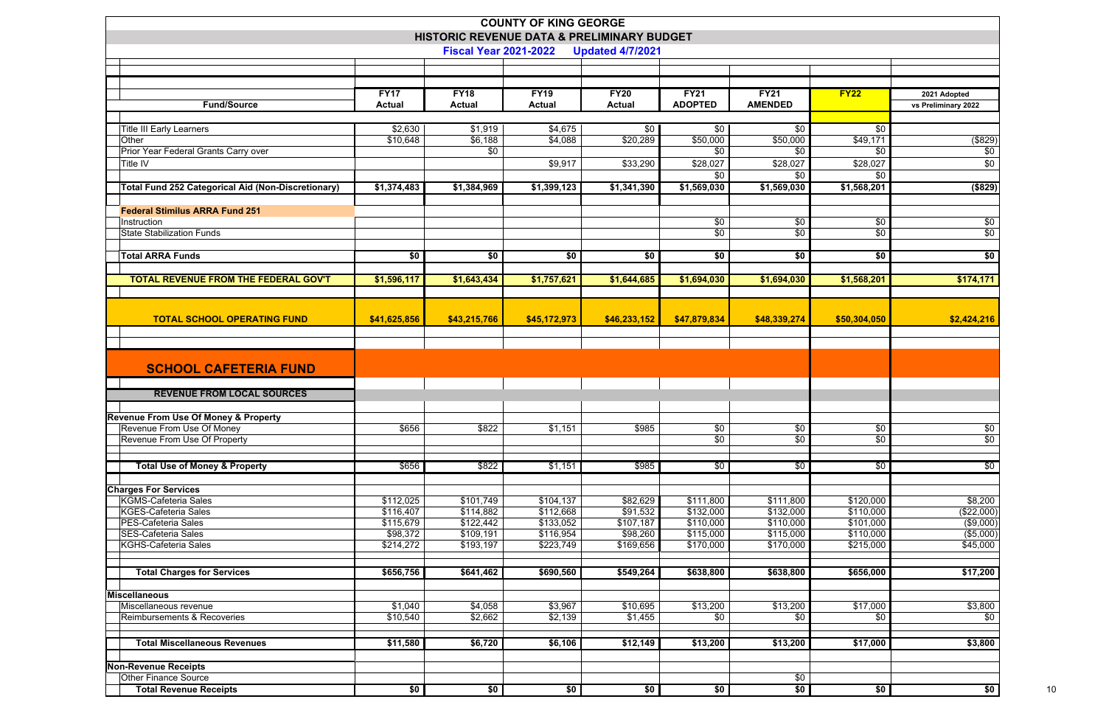|                                                           |                       | HISTORIC REVENUE DATA & PRELIMINARY BUDGET | <b>COUNTY OF KING GEORGE</b> |                         |                            |                        |                        |                       |
|-----------------------------------------------------------|-----------------------|--------------------------------------------|------------------------------|-------------------------|----------------------------|------------------------|------------------------|-----------------------|
|                                                           |                       | <b>Fiscal Year 2021-2022</b>               |                              | <b>Updated 4/7/2021</b> |                            |                        |                        |                       |
|                                                           |                       |                                            |                              |                         |                            |                        |                        |                       |
|                                                           | <b>FY17</b>           | <b>FY18</b>                                | <b>FY19</b>                  | <b>FY20</b>             | <b>FY21</b>                | <b>FY21</b>            | <b>FY22</b>            | 2021 Adopted          |
| <b>Fund/Source</b>                                        | <b>Actual</b>         | <b>Actual</b>                              | <b>Actual</b>                | <b>Actual</b>           | <b>ADOPTED</b>             | <b>AMENDED</b>         |                        | vs Preliminary 2022   |
|                                                           | \$2,630               | \$1,919                                    | \$4,675                      | \$0                     | \$0                        | \$0                    | \$0                    |                       |
| <b>Title III Early Learners</b><br>Other                  | \$10,648              | \$6,188                                    | \$4,088                      | \$20,289                | \$50,000                   | \$50,000               | \$49,171               | (\$829)               |
| Prior Year Federal Grants Carry over                      |                       | \$0                                        |                              |                         | \$0                        | \$0                    | \$0                    | \$0                   |
| Title IV                                                  |                       |                                            | \$9,917                      | \$33,290                | \$28,027                   | \$28,027               | \$28,027               | \$0                   |
|                                                           |                       |                                            |                              |                         | \$0                        | \$0                    | \$0                    |                       |
| <b>Total Fund 252 Categorical Aid (Non-Discretionary)</b> | \$1,374,483           | \$1,384,969                                | \$1,399,123                  | \$1,341,390             | \$1,569,030                | \$1,569,030            | \$1,568,201            | $($ \$829 $)$         |
|                                                           |                       |                                            |                              |                         |                            |                        |                        |                       |
| <b>Federal Stimilus ARRA Fund 251</b>                     |                       |                                            |                              |                         |                            |                        |                        |                       |
| Instruction<br><b>State Stabilization Funds</b>           |                       |                                            |                              |                         | \$0<br>\$0                 | \$0<br>\$0             | \$0<br>\$0             | \$0<br>\$0            |
|                                                           |                       |                                            |                              |                         |                            |                        |                        |                       |
| <b>Total ARRA Funds</b>                                   | \$0                   | \$0                                        | \$0                          | \$0                     | \$0                        | \$0                    | \$0                    | \$0                   |
|                                                           |                       |                                            |                              |                         |                            |                        |                        |                       |
| <b>TOTAL REVENUE FROM THE FEDERAL GOV'T</b>               | \$1,596,117           | \$1,643,434                                | \$1,757,621                  | \$1,644,685             | \$1,694,030                | \$1,694,030            | \$1,568,201            | \$174,171             |
|                                                           |                       |                                            |                              |                         |                            |                        |                        |                       |
| <b>TOTAL SCHOOL OPERATING FUND</b>                        | \$41,625,856          | \$43,215,766                               | \$45,172,973                 | \$46,233,152            | \$47,879,834               | \$48,339,274           | \$50,304,050           | \$2,424,216           |
|                                                           |                       |                                            |                              |                         |                            |                        |                        |                       |
|                                                           |                       |                                            |                              |                         |                            |                        |                        |                       |
| <b>SCHOOL CAFETERIA FUND</b>                              |                       |                                            |                              |                         |                            |                        |                        |                       |
| <b>REVENUE FROM LOCAL SOURCES</b>                         |                       |                                            |                              |                         |                            |                        |                        |                       |
|                                                           |                       |                                            |                              |                         |                            |                        |                        |                       |
| <b>Revenue From Use Of Money &amp; Property</b>           |                       |                                            |                              |                         |                            |                        |                        |                       |
| Revenue From Use Of Money<br>Revenue From Use Of Property | \$656                 | \$822                                      | \$1,151                      | \$985                   | $\sqrt{60}$<br>$\sqrt{60}$ | \$0<br>$\sqrt{6}$      | \$0<br>$\sqrt{6}$      | $\sqrt{6}$<br>\$0     |
|                                                           |                       |                                            |                              |                         |                            |                        |                        |                       |
| <b>Total Use of Money &amp; Property</b>                  | \$656                 | \$822                                      | \$1,151                      | \$985                   | \$0                        | \$0                    | $\sqrt{60}$            | $\overline{50}$       |
|                                                           |                       |                                            |                              |                         |                            |                        |                        |                       |
| <b>Charges For Services</b>                               |                       |                                            |                              |                         |                            |                        |                        |                       |
| <b>KGMS-Cafeteria Sales</b>                               | \$112,025             | \$101,749                                  | \$104,137                    | \$82,629                | \$111,800                  | \$111,800              | \$120,000              | \$8,200               |
| <b>KGES-Cafeteria Sales</b>                               | \$116,407             | \$114,882                                  | \$112,668                    | \$91,532                | \$132,000                  | \$132,000              | \$110,000              | (\$22,000)            |
| PES-Cafeteria Sales                                       | \$115,679             | \$122,442                                  | \$133,052                    | \$107,187               | \$110,000                  | \$110,000              | \$101,000              | (\$9,000)             |
| <b>SES-Cafeteria Sales</b><br><b>KGHS-Cafeteria Sales</b> | \$98,372<br>\$214,272 | \$109,191<br>\$193,197                     | \$116,954<br>\$223,749       | \$98,260<br>\$169,656   | \$115,000<br>\$170,000     | \$115,000<br>\$170,000 | \$110,000<br>\$215,000 | (\$5,000)<br>\$45,000 |
|                                                           |                       |                                            |                              |                         |                            |                        |                        |                       |
| <b>Total Charges for Services</b>                         | \$656,756             | \$641,462                                  | \$690,560                    | \$549,264               | \$638,800                  | \$638,800              | \$656,000              | \$17,200              |
|                                                           |                       |                                            |                              |                         |                            |                        |                        |                       |
| <b>Miscellaneous</b>                                      |                       |                                            |                              |                         |                            |                        |                        |                       |
| Miscellaneous revenue                                     | \$1,040               | \$4,058                                    | \$3,967                      | \$10,695                | \$13,200                   | \$13,200               | \$17,000               | \$3,800               |
| Reimbursements & Recoveries                               | \$10,540              | \$2,662                                    | \$2,139                      | \$1,455                 | \$0                        | \$0                    | \$0                    | \$0                   |
| <b>Total Miscellaneous Revenues</b>                       | \$11,580              | \$6,720                                    | \$6,106                      | \$12,149                | \$13,200                   | \$13,200               | \$17,000               | \$3,800               |
|                                                           |                       |                                            |                              |                         |                            |                        |                        |                       |
| <b>Non-Revenue Receipts</b>                               |                       |                                            |                              |                         |                            |                        |                        |                       |
| <b>Other Finance Source</b>                               |                       |                                            |                              |                         |                            | \$0                    |                        |                       |
| <b>Total Revenue Receipts</b>                             | \$0                   | \$0                                        | \$0                          | \$0                     | \$0                        | \$0                    | \$0                    | \$0                   |